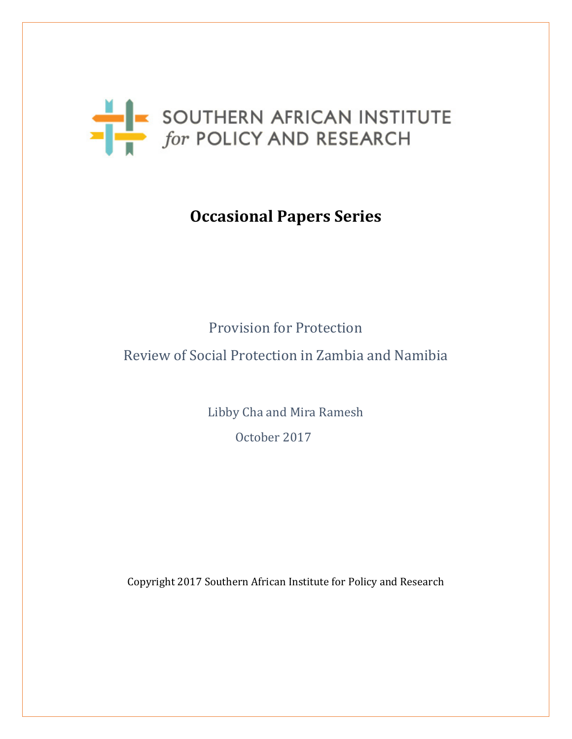

# **Occasional Papers Series**

# Provision for Protection

### Review of Social Protection in Zambia and Namibia

Libby Cha and Mira Ramesh October 2017

Copyright 2017 Southern African Institute for Policy and Research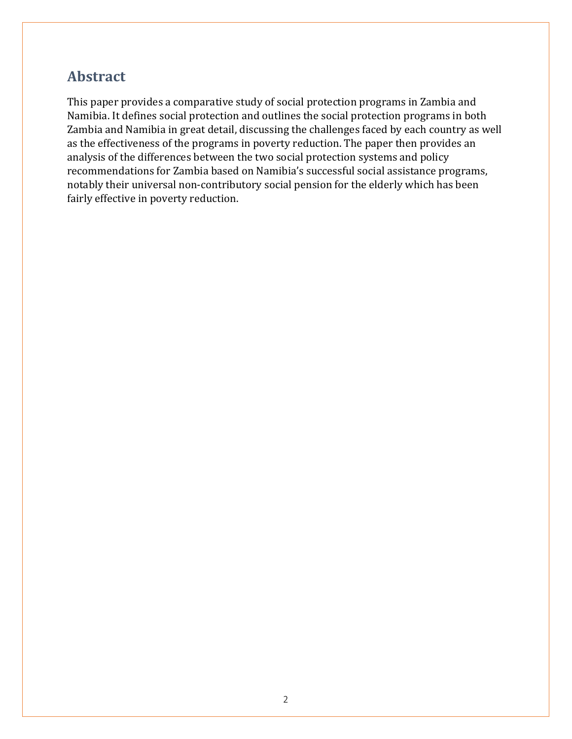## **Abstract**

This paper provides a comparative study of social protection programs in Zambia and Namibia. It defines social protection and outlines the social protection programs in both Zambia and Namibia in great detail, discussing the challenges faced by each country as well as the effectiveness of the programs in poverty reduction. The paper then provides an analysis of the differences between the two social protection systems and policy recommendations for Zambia based on Namibia's successful social assistance programs, notably their universal non-contributory social pension for the elderly which has been fairly effective in poverty reduction.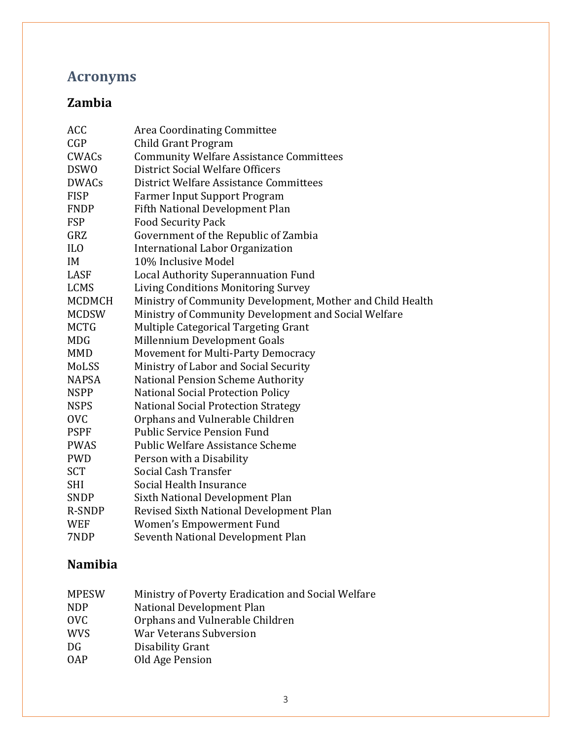# **Acronyms**

### **Zambia**

| ACC             | Area Coordinating Committee                                |
|-----------------|------------------------------------------------------------|
| CGP             | Child Grant Program                                        |
| <b>CWACs</b>    | <b>Community Welfare Assistance Committees</b>             |
| <b>DSWO</b>     | District Social Welfare Officers                           |
| <b>DWACs</b>    | District Welfare Assistance Committees                     |
| <b>FISP</b>     | <b>Farmer Input Support Program</b>                        |
| <b>FNDP</b>     | Fifth National Development Plan                            |
| <b>FSP</b>      | <b>Food Security Pack</b>                                  |
| GRZ             | Government of the Republic of Zambia                       |
| IL <sub>0</sub> | <b>International Labor Organization</b>                    |
| IM              | 10% Inclusive Model                                        |
| LASF            | <b>Local Authority Superannuation Fund</b>                 |
| <b>LCMS</b>     | Living Conditions Monitoring Survey                        |
| <b>MCDMCH</b>   | Ministry of Community Development, Mother and Child Health |
| <b>MCDSW</b>    | Ministry of Community Development and Social Welfare       |
| <b>MCTG</b>     | Multiple Categorical Targeting Grant                       |
| <b>MDG</b>      | Millennium Development Goals                               |
| <b>MMD</b>      | Movement for Multi-Party Democracy                         |
| MoLSS           | Ministry of Labor and Social Security                      |
| <b>NAPSA</b>    | <b>National Pension Scheme Authority</b>                   |
| <b>NSPP</b>     | <b>National Social Protection Policy</b>                   |
| <b>NSPS</b>     | <b>National Social Protection Strategy</b>                 |
| <b>OVC</b>      | Orphans and Vulnerable Children                            |
| <b>PSPF</b>     | <b>Public Service Pension Fund</b>                         |
| <b>PWAS</b>     | Public Welfare Assistance Scheme                           |
| <b>PWD</b>      | Person with a Disability                                   |
| <b>SCT</b>      | Social Cash Transfer                                       |
| <b>SHI</b>      | Social Health Insurance                                    |
| <b>SNDP</b>     | Sixth National Development Plan                            |
| <b>R-SNDP</b>   | Revised Sixth National Development Plan                    |
| <b>WEF</b>      | Women's Empowerment Fund                                   |
| 7NDP            | Seventh National Development Plan                          |

### **Namibia**

| <b>MPESW</b> | Ministry of Poverty Eradication and Social Welfare |
|--------------|----------------------------------------------------|
| <b>NDP</b>   | National Development Plan                          |
| <b>OVC</b>   | Orphans and Vulnerable Children                    |
| <b>WVS</b>   | <b>War Veterans Subversion</b>                     |
| DG           | Disability Grant                                   |
| <b>OAP</b>   | Old Age Pension                                    |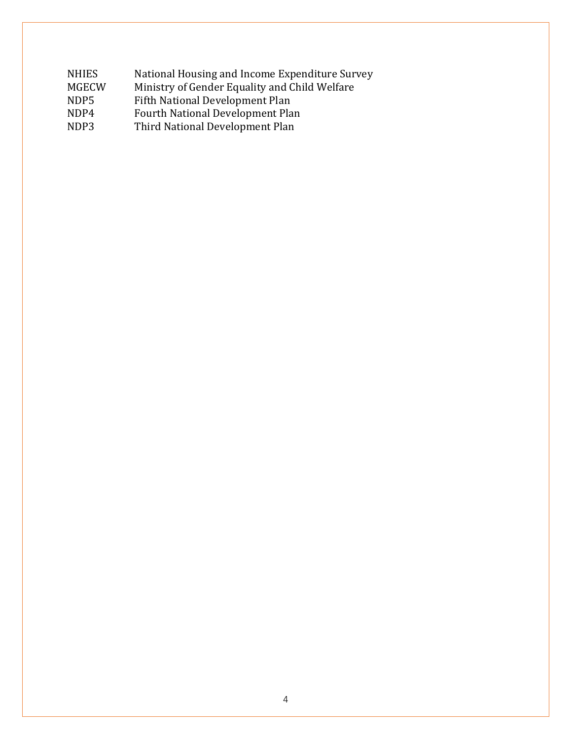| <b>NHIES</b> | National Housing and Income Expenditure Survey |
|--------------|------------------------------------------------|
| <b>MGECW</b> | Ministry of Gender Equality and Child Welfare  |
| NDP5         | Fifth National Development Plan                |
| NDP4         | Fourth National Development Plan               |
| NDP3         | Third National Development Plan                |
|              |                                                |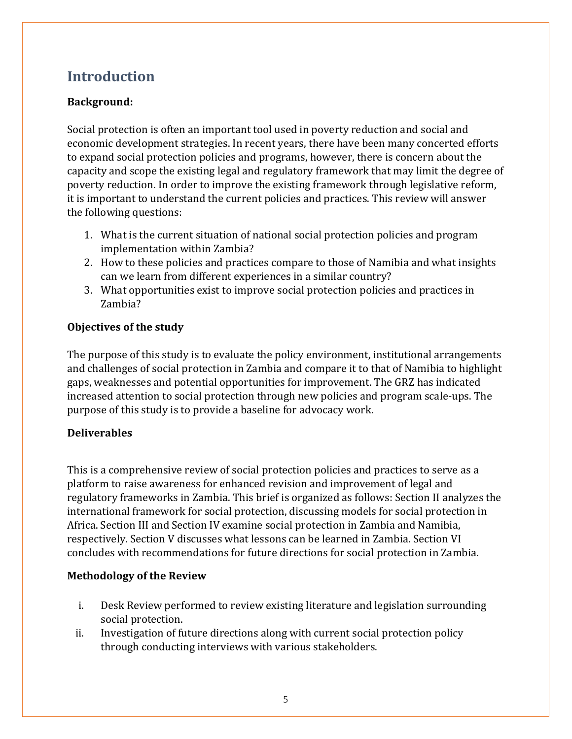# **Introduction**

### **Background:**

Social protection is often an important tool used in poverty reduction and social and economic development strategies. In recent years, there have been many concerted efforts to expand social protection policies and programs, however, there is concern about the capacity and scope the existing legal and regulatory framework that may limit the degree of poverty reduction. In order to improve the existing framework through legislative reform, it is important to understand the current policies and practices. This review will answer the following questions:

- 1. What is the current situation of national social protection policies and program implementation within Zambia?
- 2. How to these policies and practices compare to those of Namibia and what insights can we learn from different experiences in a similar country?
- 3. What opportunities exist to improve social protection policies and practices in Zambia?

#### **Objectives of the study**

The purpose of this study is to evaluate the policy environment, institutional arrangements and challenges of social protection in Zambia and compare it to that of Namibia to highlight gaps, weaknesses and potential opportunities for improvement. The GRZ has indicated increased attention to social protection through new policies and program scale-ups. The purpose of this study is to provide a baseline for advocacy work.

#### **Deliverables**

This is a comprehensive review of social protection policies and practices to serve as a platform to raise awareness for enhanced revision and improvement of legal and regulatory frameworks in Zambia. This brief is organized as follows: Section II analyzes the international framework for social protection, discussing models for social protection in Africa. Section III and Section IV examine social protection in Zambia and Namibia, respectively. Section V discusses what lessons can be learned in Zambia. Section VI concludes with recommendations for future directions for social protection in Zambia.

#### **Methodology of the Review**

- i. Desk Review performed to review existing literature and legislation surrounding social protection.
- ii. Investigation of future directions along with current social protection policy through conducting interviews with various stakeholders.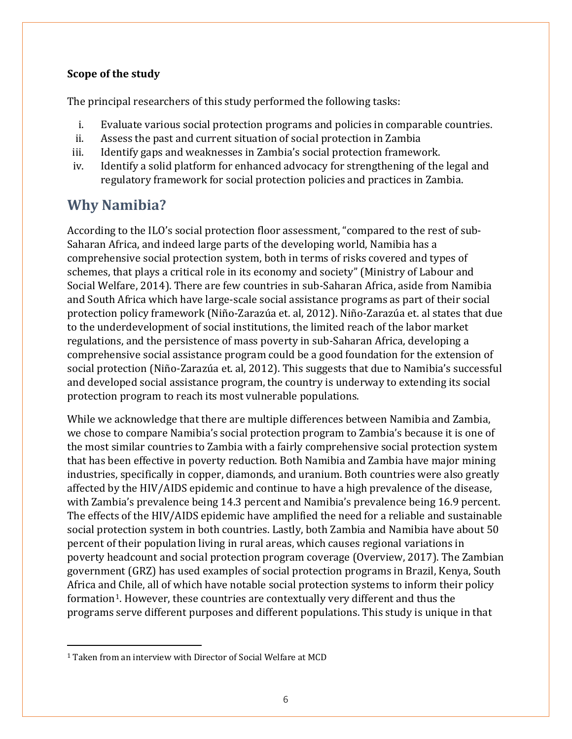#### **Scope of the study**

The principal researchers of this study performed the following tasks:

- i. Evaluate various social protection programs and policies in comparable countries.
- ii. Assess the past and current situation of social protection in Zambia<br>iii. Identify gaps and weaknesses in Zambia's social protection framew
- iii. Identify gaps and weaknesses in Zambia's social protection framework.<br>iv. Identify a solid platform for enhanced advocacy for strengthening of the
- Identify a solid platform for enhanced advocacy for strengthening of the legal and regulatory framework for social protection policies and practices in Zambia.

# **Why Namibia?**

According to the ILO's social protection floor assessment, "compared to the rest of sub-Saharan Africa, and indeed large parts of the developing world, Namibia has a comprehensive social protection system, both in terms of risks covered and types of schemes, that plays a critical role in its economy and society" (Ministry of Labour and Social Welfare, 2014). There are few countries in sub-Saharan Africa, aside from Namibia and South Africa which have large-scale social assistance programs as part of their social protection policy framework (Niño-Zarazúa et. al, 2012). Niño-Zarazúa et. al states that due to the underdevelopment of social institutions, the limited reach of the labor market regulations, and the persistence of mass poverty in sub-Saharan Africa, developing a comprehensive social assistance program could be a good foundation for the extension of social protection (Niño-Zarazúa et. al, 2012). This suggests that due to Namibia's successful and developed social assistance program, the country is underway to extending its social protection program to reach its most vulnerable populations.

While we acknowledge that there are multiple differences between Namibia and Zambia, we chose to compare Namibia's social protection program to Zambia's because it is one of the most similar countries to Zambia with a fairly comprehensive social protection system that has been effective in poverty reduction. Both Namibia and Zambia have major mining industries, specifically in copper, diamonds, and uranium. Both countries were also greatly affected by the HIV/AIDS epidemic and continue to have a high prevalence of the disease, with Zambia's prevalence being 14.3 percent and Namibia's prevalence being 16.9 percent. The effects of the HIV/AIDS epidemic have amplified the need for a reliable and sustainable social protection system in both countries. Lastly, both Zambia and Namibia have about 50 percent of their population living in rural areas, which causes regional variations in poverty headcount and social protection program coverage (Overview, 2017). The Zambian government (GRZ) has used examples of social protection programs in Brazil, Kenya, South Africa and Chile, all of which have notable social protection systems to inform their policy formation<sup>[1](#page-5-0)</sup>. However, these countries are contextually very different and thus the programs serve different purposes and different populations. This study is unique in that

 $\overline{a}$ 

<span id="page-5-0"></span><sup>1</sup> Taken from an interview with Director of Social Welfare at MCD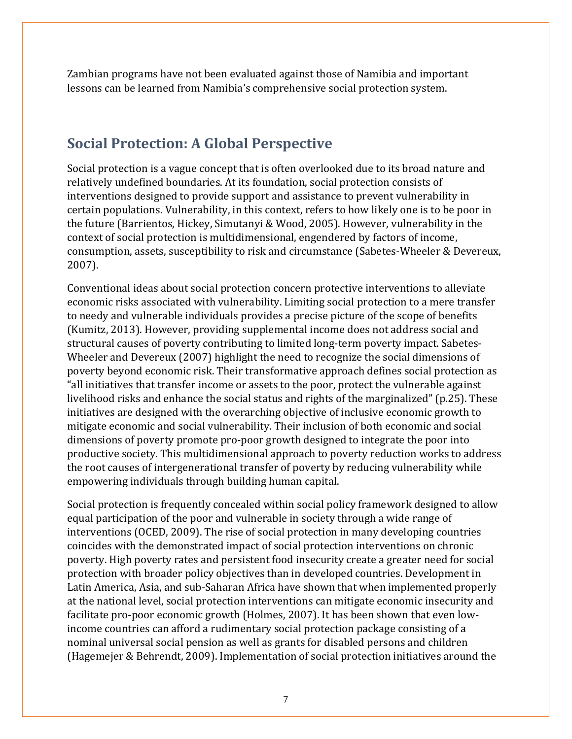Zambian programs have not been evaluated against those of Namibia and important lessons can be learned from Namibia's comprehensive social protection system.

## **Social Protection: A Global Perspective**

Social protection is a vague concept that is often overlooked due to its broad nature and relatively undefined boundaries. At its foundation, social protection consists of interventions designed to provide support and assistance to prevent vulnerability in certain populations. Vulnerability, in this context, refers to how likely one is to be poor in the future (Barrientos, Hickey, Simutanyi & Wood, 2005). However, vulnerability in the context of social protection is multidimensional, engendered by factors of income, consumption, assets, susceptibility to risk and circumstance (Sabetes-Wheeler & Devereux, 2007).

Conventional ideas about social protection concern protective interventions to alleviate economic risks associated with vulnerability. Limiting social protection to a mere transfer to needy and vulnerable individuals provides a precise picture of the scope of benefits (Kumitz, 2013). However, providing supplemental income does not address social and structural causes of poverty contributing to limited long-term poverty impact. Sabetes-Wheeler and Devereux (2007) highlight the need to recognize the social dimensions of poverty beyond economic risk. Their transformative approach defines social protection as "all initiatives that transfer income or assets to the poor, protect the vulnerable against livelihood risks and enhance the social status and rights of the marginalized" (p.25). These initiatives are designed with the overarching objective of inclusive economic growth to mitigate economic and social vulnerability. Their inclusion of both economic and social dimensions of poverty promote pro-poor growth designed to integrate the poor into productive society. This multidimensional approach to poverty reduction works to address the root causes of intergenerational transfer of poverty by reducing vulnerability while empowering individuals through building human capital.

Social protection is frequently concealed within social policy framework designed to allow equal participation of the poor and vulnerable in society through a wide range of interventions (OCED, 2009). The rise of social protection in many developing countries coincides with the demonstrated impact of social protection interventions on chronic poverty. High poverty rates and persistent food insecurity create a greater need for social protection with broader policy objectives than in developed countries. Development in Latin America, Asia, and sub-Saharan Africa have shown that when implemented properly at the national level, social protection interventions can mitigate economic insecurity and facilitate pro-poor economic growth (Holmes, 2007). It has been shown that even lowincome countries can afford a rudimentary social protection package consisting of a nominal universal social pension as well as grants for disabled persons and children (Hagemejer & Behrendt, 2009). Implementation of social protection initiatives around the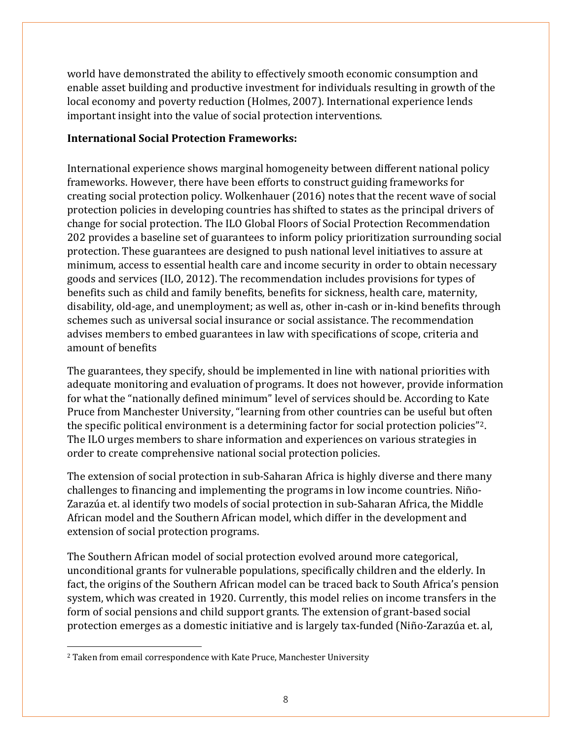world have demonstrated the ability to effectively smooth economic consumption and enable asset building and productive investment for individuals resulting in growth of the local economy and poverty reduction (Holmes, 2007). International experience lends important insight into the value of social protection interventions.

#### **International Social Protection Frameworks:**

International experience shows marginal homogeneity between different national policy frameworks. However, there have been efforts to construct guiding frameworks for creating social protection policy. Wolkenhauer (2016) notes that the recent wave of social protection policies in developing countries has shifted to states as the principal drivers of change for social protection. The ILO Global Floors of Social Protection Recommendation 202 provides a baseline set of guarantees to inform policy prioritization surrounding social protection. These guarantees are designed to push national level initiatives to assure at minimum, access to essential health care and income security in order to obtain necessary goods and services (ILO, 2012). The recommendation includes provisions for types of benefits such as child and family benefits, benefits for sickness, health care, maternity, disability, old-age, and unemployment; as well as, other in-cash or in-kind benefits through schemes such as universal social insurance or social assistance. The recommendation advises members to embed guarantees in law with specifications of scope, criteria and amount of benefits

The guarantees, they specify, should be implemented in line with national priorities with adequate monitoring and evaluation of programs. It does not however, provide information for what the "nationally defined minimum" level of services should be. According to Kate Pruce from Manchester University, "learning from other countries can be useful but often the specific political environment is a determining factor for social protection policies"[2.](#page-7-0) The ILO urges members to share information and experiences on various strategies in order to create comprehensive national social protection policies.

The extension of social protection in sub-Saharan Africa is highly diverse and there many challenges to financing and implementing the programs in low income countries. Niño-Zarazúa et. al identify two models of social protection in sub-Saharan Africa, the Middle African model and the Southern African model, which differ in the development and extension of social protection programs.

The Southern African model of social protection evolved around more categorical, unconditional grants for vulnerable populations, specifically children and the elderly. In fact, the origins of the Southern African model can be traced back to South Africa's pension system, which was created in 1920. Currently, this model relies on income transfers in the form of social pensions and child support grants. The extension of grant-based social protection emerges as a domestic initiative and is largely tax-funded (Niño-Zarazúa et. al,

 $\overline{a}$ 

<span id="page-7-0"></span><sup>2</sup> Taken from email correspondence with Kate Pruce, Manchester University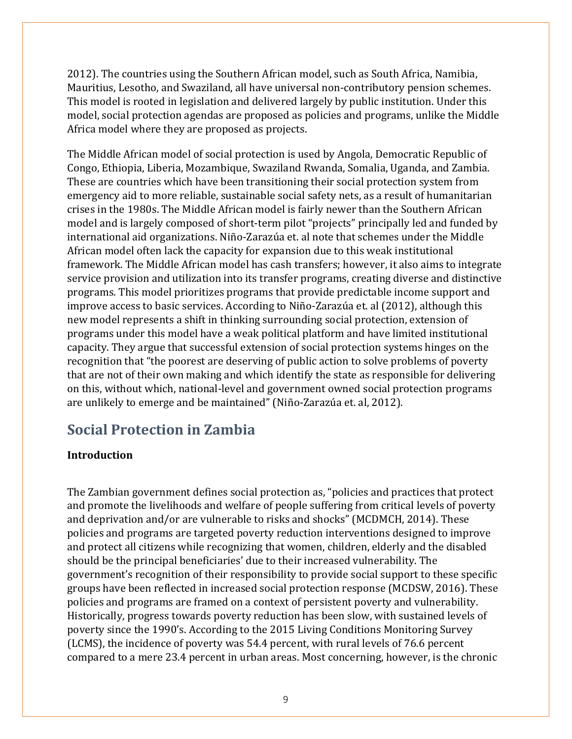2012). The countries using the Southern African model, such as South Africa, Namibia, Mauritius, Lesotho, and Swaziland, all have universal non-contributory pension schemes. This model is rooted in legislation and delivered largely by public institution. Under this model, social protection agendas are proposed as policies and programs, unlike the Middle Africa model where they are proposed as projects.

The Middle African model of social protection is used by Angola, Democratic Republic of Congo, Ethiopia, Liberia, Mozambique, Swaziland Rwanda, Somalia, Uganda, and Zambia. These are countries which have been transitioning their social protection system from emergency aid to more reliable, sustainable social safety nets, as a result of humanitarian crises in the 1980s. The Middle African model is fairly newer than the Southern African model and is largely composed of short-term pilot "projects" principally led and funded by international aid organizations. Niño-Zarazúa et. al note that schemes under the Middle African model often lack the capacity for expansion due to this weak institutional framework. The Middle African model has cash transfers; however, it also aims to integrate service provision and utilization into its transfer programs, creating diverse and distinctive programs. This model prioritizes programs that provide predictable income support and improve access to basic services. According to Niño-Zarazúa et. al (2012), although this new model represents a shift in thinking surrounding social protection, extension of programs under this model have a weak political platform and have limited institutional capacity. They argue that successful extension of social protection systems hinges on the recognition that "the poorest are deserving of public action to solve problems of poverty that are not of their own making and which identify the state as responsible for delivering on this, without which, national-level and government owned social protection programs are unlikely to emerge and be maintained" (Niño-Zarazúa et. al, 2012).

# **Social Protection in Zambia**

#### **Introduction**

The Zambian government defines social protection as, "policies and practices that protect and promote the livelihoods and welfare of people suffering from critical levels of poverty and deprivation and/or are vulnerable to risks and shocks" (MCDMCH, 2014). These policies and programs are targeted poverty reduction interventions designed to improve and protect all citizens while recognizing that women, children, elderly and the disabled should be the principal beneficiaries' due to their increased vulnerability. The government's recognition of their responsibility to provide social support to these specific groups have been reflected in increased social protection response (MCDSW, 2016). These policies and programs are framed on a context of persistent poverty and vulnerability. Historically, progress towards poverty reduction has been slow, with sustained levels of poverty since the 1990's. According to the 2015 Living Conditions Monitoring Survey (LCMS), the incidence of poverty was 54.4 percent, with rural levels of 76.6 percent compared to a mere 23.4 percent in urban areas. Most concerning, however, is the chronic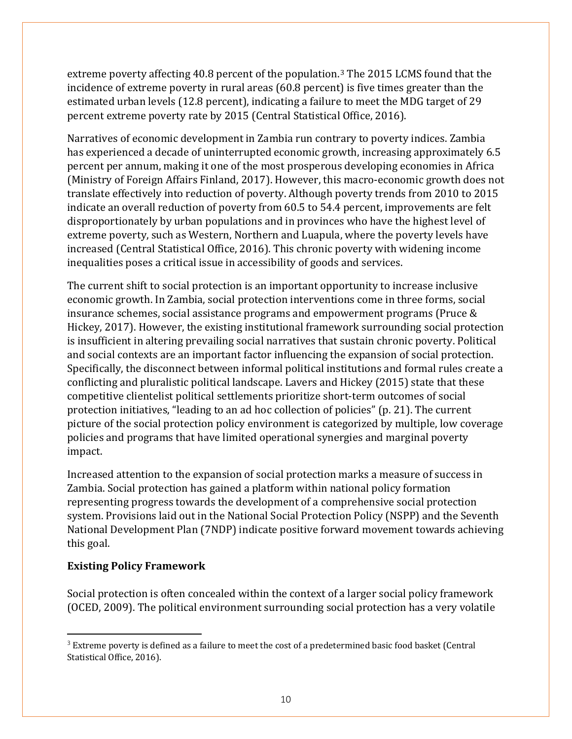extreme poverty affecting 40.8 percent of the population.[3](#page-9-0) The 2015 LCMS found that the incidence of extreme poverty in rural areas (60.8 percent) is five times greater than the estimated urban levels (12.8 percent), indicating a failure to meet the MDG target of 29 percent extreme poverty rate by 2015 (Central Statistical Office, 2016).

Narratives of economic development in Zambia run contrary to poverty indices. Zambia has experienced a decade of uninterrupted economic growth, increasing approximately 6.5 percent per annum, making it one of the most prosperous developing economies in Africa (Ministry of Foreign Affairs Finland, 2017). However, this macro-economic growth does not translate effectively into reduction of poverty. Although poverty trends from 2010 to 2015 indicate an overall reduction of poverty from 60.5 to 54.4 percent, improvements are felt disproportionately by urban populations and in provinces who have the highest level of extreme poverty, such as Western, Northern and Luapula, where the poverty levels have increased (Central Statistical Office, 2016). This chronic poverty with widening income inequalities poses a critical issue in accessibility of goods and services.

The current shift to social protection is an important opportunity to increase inclusive economic growth. In Zambia, social protection interventions come in three forms, social insurance schemes, social assistance programs and empowerment programs (Pruce & Hickey, 2017). However, the existing institutional framework surrounding social protection is insufficient in altering prevailing social narratives that sustain chronic poverty. Political and social contexts are an important factor influencing the expansion of social protection. Specifically, the disconnect between informal political institutions and formal rules create a conflicting and pluralistic political landscape. Lavers and Hickey (2015) state that these competitive clientelist political settlements prioritize short-term outcomes of social protection initiatives, "leading to an ad hoc collection of policies" (p. 21). The current picture of the social protection policy environment is categorized by multiple, low coverage policies and programs that have limited operational synergies and marginal poverty impact.

Increased attention to the expansion of social protection marks a measure of success in Zambia. Social protection has gained a platform within national policy formation representing progress towards the development of a comprehensive social protection system. Provisions laid out in the National Social Protection Policy (NSPP) and the Seventh National Development Plan (7NDP) indicate positive forward movement towards achieving this goal.

#### **Existing Policy Framework**

Social protection is often concealed within the context of a larger social policy framework (OCED, 2009). The political environment surrounding social protection has a very volatile

<span id="page-9-0"></span><sup>&</sup>lt;sup>3</sup> Extreme poverty is defined as a failure to meet the cost of a predetermined basic food basket (Central Statistical Office, 2016).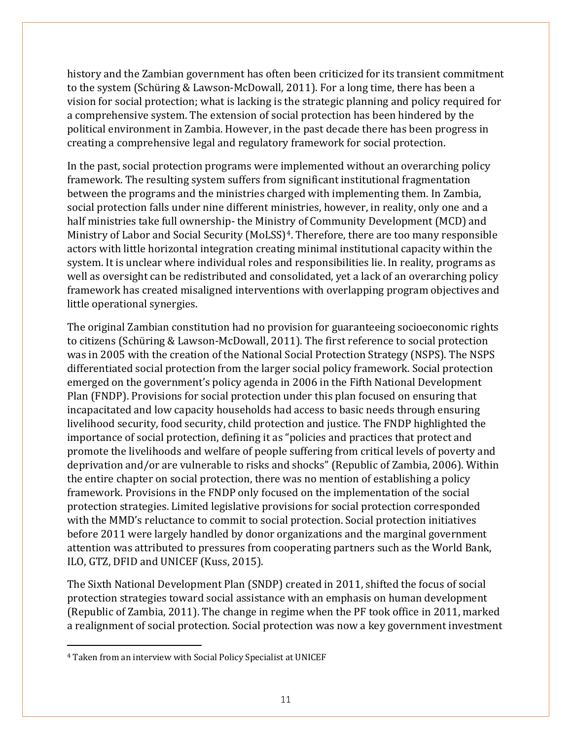history and the Zambian government has often been criticized for its transient commitment to the system (Schüring & Lawson-McDowall, 2011). For a long time, there has been a vision for social protection; what is lacking is the strategic planning and policy required for a comprehensive system. The extension of social protection has been hindered by the political environment in Zambia. However, in the past decade there has been progress in creating a comprehensive legal and regulatory framework for social protection.

In the past, social protection programs were implemented without an overarching policy framework. The resulting system suffers from significant institutional fragmentation between the programs and the ministries charged with implementing them. In Zambia, social protection falls under nine different ministries, however, in reality, only one and a half ministries take full ownership- the Ministry of Community Development (MCD) and Ministry of Labor and Social Security (MoLSS)<sup>4</sup>. Therefore, there are too many responsible actors with little horizontal integration creating minimal institutional capacity within the system. It is unclear where individual roles and responsibilities lie. In reality, programs as well as oversight can be redistributed and consolidated, yet a lack of an overarching policy framework has created misaligned interventions with overlapping program objectives and little operational synergies.

The original Zambian constitution had no provision for guaranteeing socioeconomic rights to citizens (Schüring & Lawson-McDowall, 2011). The first reference to social protection was in 2005 with the creation of the National Social Protection Strategy (NSPS). The NSPS differentiated social protection from the larger social policy framework. Social protection emerged on the government's policy agenda in 2006 in the Fifth National Development Plan (FNDP). Provisions for social protection under this plan focused on ensuring that incapacitated and low capacity households had access to basic needs through ensuring livelihood security, food security, child protection and justice. The FNDP highlighted the importance of social protection, defining it as "policies and practices that protect and promote the livelihoods and welfare of people suffering from critical levels of poverty and deprivation and/or are vulnerable to risks and shocks" (Republic of Zambia, 2006). Within the entire chapter on social protection, there was no mention of establishing a policy framework. Provisions in the FNDP only focused on the implementation of the social protection strategies. Limited legislative provisions for social protection corresponded with the MMD's reluctance to commit to social protection. Social protection initiatives before 2011 were largely handled by donor organizations and the marginal government attention was attributed to pressures from cooperating partners such as the World Bank, ILO, GTZ, DFID and UNICEF (Kuss, 2015).

The Sixth National Development Plan (SNDP) created in 2011, shifted the focus of social protection strategies toward social assistance with an emphasis on human development (Republic of Zambia, 2011). The change in regime when the PF took office in 2011, marked a realignment of social protection. Social protection was now a key government investment

 $\overline{a}$ 

<span id="page-10-0"></span><sup>4</sup> Taken from an interview with Social Policy Specialist at UNICEF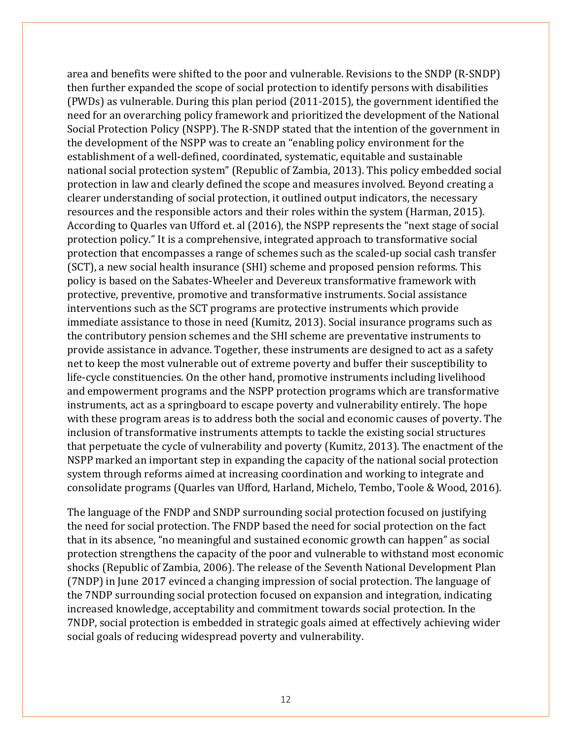area and benefits were shifted to the poor and vulnerable. Revisions to the SNDP (R-SNDP) then further expanded the scope of social protection to identify persons with disabilities (PWDs) as vulnerable. During this plan period (2011-2015), the government identified the need for an overarching policy framework and prioritized the development of the National Social Protection Policy (NSPP). The R-SNDP stated that the intention of the government in the development of the NSPP was to create an "enabling policy environment for the establishment of a well-defined, coordinated, systematic, equitable and sustainable national social protection system" (Republic of Zambia, 2013). This policy embedded social protection in law and clearly defined the scope and measures involved. Beyond creating a clearer understanding of social protection, it outlined output indicators, the necessary resources and the responsible actors and their roles within the system (Harman, 2015). According to Quarles van Ufford et. al (2016), the NSPP represents the "next stage of social protection policy." It is a comprehensive, integrated approach to transformative social protection that encompasses a range of schemes such as the scaled-up social cash transfer (SCT), a new social health insurance (SHI) scheme and proposed pension reforms. This policy is based on the Sabates-Wheeler and Devereux transformative framework with protective, preventive, promotive and transformative instruments. Social assistance interventions such as the SCT programs are protective instruments which provide immediate assistance to those in need (Kumitz, 2013). Social insurance programs such as the contributory pension schemes and the SHI scheme are preventative instruments to provide assistance in advance. Together, these instruments are designed to act as a safety net to keep the most vulnerable out of extreme poverty and buffer their susceptibility to life-cycle constituencies. On the other hand, promotive instruments including livelihood and empowerment programs and the NSPP protection programs which are transformative instruments, act as a springboard to escape poverty and vulnerability entirely. The hope with these program areas is to address both the social and economic causes of poverty. The inclusion of transformative instruments attempts to tackle the existing social structures that perpetuate the cycle of vulnerability and poverty (Kumitz, 2013). The enactment of the NSPP marked an important step in expanding the capacity of the national social protection system through reforms aimed at increasing coordination and working to integrate and consolidate programs (Quarles van Ufford, Harland, Michelo, Tembo, Toole & Wood, 2016).

The language of the FNDP and SNDP surrounding social protection focused on justifying the need for social protection. The FNDP based the need for social protection on the fact that in its absence, "no meaningful and sustained economic growth can happen" as social protection strengthens the capacity of the poor and vulnerable to withstand most economic shocks (Republic of Zambia, 2006). The release of the Seventh National Development Plan (7NDP) in June 2017 evinced a changing impression of social protection. The language of the 7NDP surrounding social protection focused on expansion and integration, indicating increased knowledge, acceptability and commitment towards social protection. In the 7NDP, social protection is embedded in strategic goals aimed at effectively achieving wider social goals of reducing widespread poverty and vulnerability.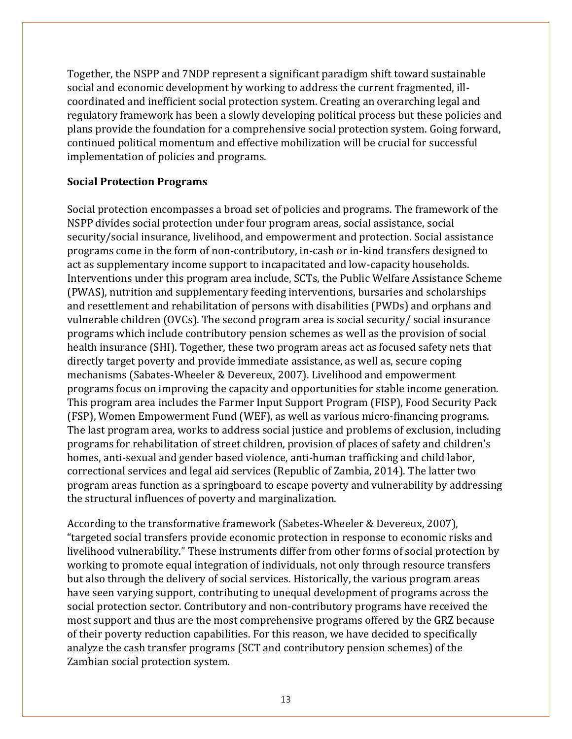Together, the NSPP and 7NDP represent a significant paradigm shift toward sustainable social and economic development by working to address the current fragmented, illcoordinated and inefficient social protection system. Creating an overarching legal and regulatory framework has been a slowly developing political process but these policies and plans provide the foundation for a comprehensive social protection system. Going forward, continued political momentum and effective mobilization will be crucial for successful implementation of policies and programs.

#### **Social Protection Programs**

Social protection encompasses a broad set of policies and programs. The framework of the NSPP divides social protection under four program areas, social assistance, social security/social insurance, livelihood, and empowerment and protection. Social assistance programs come in the form of non-contributory, in-cash or in-kind transfers designed to act as supplementary income support to incapacitated and low-capacity households. Interventions under this program area include, SCTs, the Public Welfare Assistance Scheme (PWAS), nutrition and supplementary feeding interventions, bursaries and scholarships and resettlement and rehabilitation of persons with disabilities (PWDs) and orphans and vulnerable children (OVCs). The second program area is social security/ social insurance programs which include contributory pension schemes as well as the provision of social health insurance (SHI). Together, these two program areas act as focused safety nets that directly target poverty and provide immediate assistance, as well as, secure coping mechanisms (Sabates-Wheeler & Devereux, 2007). Livelihood and empowerment programs focus on improving the capacity and opportunities for stable income generation. This program area includes the Farmer Input Support Program (FISP), Food Security Pack (FSP), Women Empowerment Fund (WEF), as well as various micro-financing programs. The last program area, works to address social justice and problems of exclusion, including programs for rehabilitation of street children, provision of places of safety and children's homes, anti-sexual and gender based violence, anti-human trafficking and child labor, correctional services and legal aid services (Republic of Zambia, 2014). The latter two program areas function as a springboard to escape poverty and vulnerability by addressing the structural influences of poverty and marginalization.

According to the transformative framework (Sabetes-Wheeler & Devereux, 2007), "targeted social transfers provide economic protection in response to economic risks and livelihood vulnerability." These instruments differ from other forms of social protection by working to promote equal integration of individuals, not only through resource transfers but also through the delivery of social services. Historically, the various program areas have seen varying support, contributing to unequal development of programs across the social protection sector. Contributory and non-contributory programs have received the most support and thus are the most comprehensive programs offered by the GRZ because of their poverty reduction capabilities. For this reason, we have decided to specifically analyze the cash transfer programs (SCT and contributory pension schemes) of the Zambian social protection system.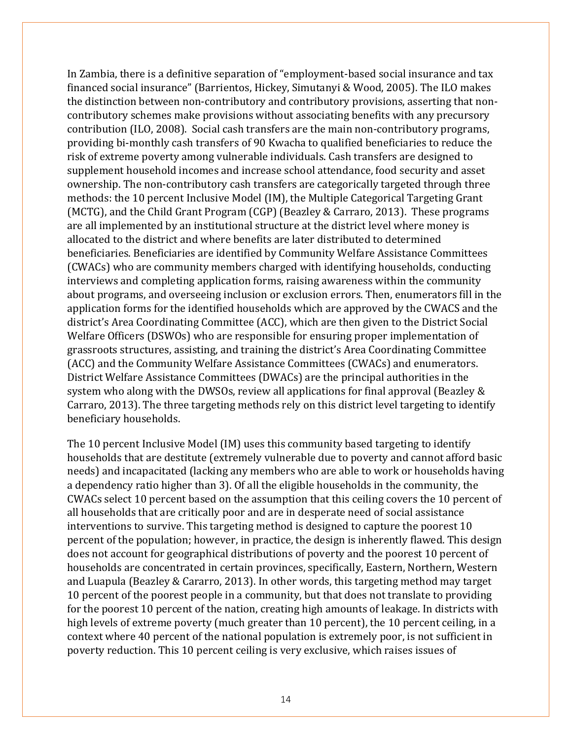In Zambia, there is a definitive separation of "employment-based social insurance and tax financed social insurance" (Barrientos, Hickey, Simutanyi & Wood, 2005). The ILO makes the distinction between non-contributory and contributory provisions, asserting that noncontributory schemes make provisions without associating benefits with any precursory contribution (ILO, 2008). Social cash transfers are the main non-contributory programs, providing bi-monthly cash transfers of 90 Kwacha to qualified beneficiaries to reduce the risk of extreme poverty among vulnerable individuals. Cash transfers are designed to supplement household incomes and increase school attendance, food security and asset ownership. The non-contributory cash transfers are categorically targeted through three methods: the 10 percent Inclusive Model (IM), the Multiple Categorical Targeting Grant (MCTG), and the Child Grant Program (CGP) (Beazley & Carraro, 2013). These programs are all implemented by an institutional structure at the district level where money is allocated to the district and where benefits are later distributed to determined beneficiaries. Beneficiaries are identified by Community Welfare Assistance Committees (CWACs) who are community members charged with identifying households, conducting interviews and completing application forms, raising awareness within the community about programs, and overseeing inclusion or exclusion errors. Then, enumerators fill in the application forms for the identified households which are approved by the CWACS and the district's Area Coordinating Committee (ACC), which are then given to the District Social Welfare Officers (DSWOs) who are responsible for ensuring proper implementation of grassroots structures, assisting, and training the district's Area Coordinating Committee (ACC) and the Community Welfare Assistance Committees (CWACs) and enumerators. District Welfare Assistance Committees (DWACs) are the principal authorities in the system who along with the DWSOs, review all applications for final approval (Beazley & Carraro, 2013). The three targeting methods rely on this district level targeting to identify beneficiary households.

The 10 percent Inclusive Model (IM) uses this community based targeting to identify households that are destitute (extremely vulnerable due to poverty and cannot afford basic needs) and incapacitated (lacking any members who are able to work or households having a dependency ratio higher than 3). Of all the eligible households in the community, the CWACs select 10 percent based on the assumption that this ceiling covers the 10 percent of all households that are critically poor and are in desperate need of social assistance interventions to survive. This targeting method is designed to capture the poorest 10 percent of the population; however, in practice, the design is inherently flawed. This design does not account for geographical distributions of poverty and the poorest 10 percent of households are concentrated in certain provinces, specifically, Eastern, Northern, Western and Luapula (Beazley & Cararro, 2013). In other words, this targeting method may target 10 percent of the poorest people in a community, but that does not translate to providing for the poorest 10 percent of the nation, creating high amounts of leakage. In districts with high levels of extreme poverty (much greater than 10 percent), the 10 percent ceiling, in a context where 40 percent of the national population is extremely poor, is not sufficient in poverty reduction. This 10 percent ceiling is very exclusive, which raises issues of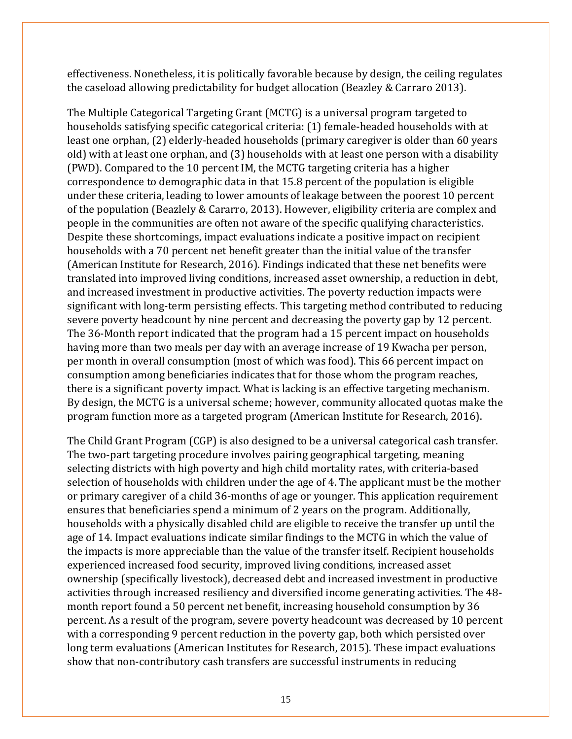effectiveness. Nonetheless, it is politically favorable because by design, the ceiling regulates the caseload allowing predictability for budget allocation (Beazley & Carraro 2013).

The Multiple Categorical Targeting Grant (MCTG) is a universal program targeted to households satisfying specific categorical criteria: (1) female-headed households with at least one orphan, (2) elderly-headed households (primary caregiver is older than 60 years old) with at least one orphan, and (3) households with at least one person with a disability (PWD). Compared to the 10 percent IM, the MCTG targeting criteria has a higher correspondence to demographic data in that 15.8 percent of the population is eligible under these criteria, leading to lower amounts of leakage between the poorest 10 percent of the population (Beazlely & Cararro, 2013). However, eligibility criteria are complex and people in the communities are often not aware of the specific qualifying characteristics. Despite these shortcomings, impact evaluations indicate a positive impact on recipient households with a 70 percent net benefit greater than the initial value of the transfer (American Institute for Research, 2016). Findings indicated that these net benefits were translated into improved living conditions, increased asset ownership, a reduction in debt, and increased investment in productive activities. The poverty reduction impacts were significant with long-term persisting effects. This targeting method contributed to reducing severe poverty headcount by nine percent and decreasing the poverty gap by 12 percent. The 36-Month report indicated that the program had a 15 percent impact on households having more than two meals per day with an average increase of 19 Kwacha per person, per month in overall consumption (most of which was food). This 66 percent impact on consumption among beneficiaries indicates that for those whom the program reaches, there is a significant poverty impact. What is lacking is an effective targeting mechanism. By design, the MCTG is a universal scheme; however, community allocated quotas make the program function more as a targeted program (American Institute for Research, 2016).

The Child Grant Program (CGP) is also designed to be a universal categorical cash transfer. The two-part targeting procedure involves pairing geographical targeting, meaning selecting districts with high poverty and high child mortality rates, with criteria-based selection of households with children under the age of 4. The applicant must be the mother or primary caregiver of a child 36-months of age or younger. This application requirement ensures that beneficiaries spend a minimum of 2 years on the program. Additionally, households with a physically disabled child are eligible to receive the transfer up until the age of 14. Impact evaluations indicate similar findings to the MCTG in which the value of the impacts is more appreciable than the value of the transfer itself. Recipient households experienced increased food security, improved living conditions, increased asset ownership (specifically livestock), decreased debt and increased investment in productive activities through increased resiliency and diversified income generating activities. The 48 month report found a 50 percent net benefit, increasing household consumption by 36 percent. As a result of the program, severe poverty headcount was decreased by 10 percent with a corresponding 9 percent reduction in the poverty gap, both which persisted over long term evaluations (American Institutes for Research, 2015). These impact evaluations show that non-contributory cash transfers are successful instruments in reducing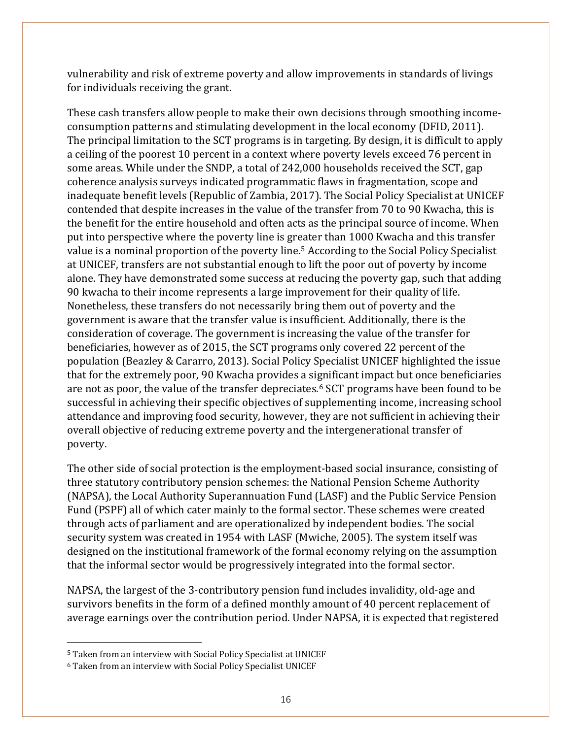vulnerability and risk of extreme poverty and allow improvements in standards of livings for individuals receiving the grant.

These cash transfers allow people to make their own decisions through smoothing incomeconsumption patterns and stimulating development in the local economy (DFID, 2011). The principal limitation to the SCT programs is in targeting. By design, it is difficult to apply a ceiling of the poorest 10 percent in a context where poverty levels exceed 76 percent in some areas. While under the SNDP, a total of 242,000 households received the SCT, gap coherence analysis surveys indicated programmatic flaws in fragmentation, scope and inadequate benefit levels (Republic of Zambia, 2017). The Social Policy Specialist at UNICEF contended that despite increases in the value of the transfer from 70 to 90 Kwacha, this is the benefit for the entire household and often acts as the principal source of income. When put into perspective where the poverty line is gr[ea](#page-15-0)ter than 1000 Kwacha and this transfer value is a nominal proportion of the poverty line. <sup>5</sup> According to the Social Policy Specialist at UNICEF, transfers are not substantial enough to lift the poor out of poverty by income alone. They have demonstrated some success at reducing the poverty gap, such that adding 90 kwacha to their income represents a large improvement for their quality of life. Nonetheless, these transfers do not necessarily bring them out of poverty and the government is aware that the transfer value is insufficient. Additionally, there is the consideration of coverage. The government is increasing the value of the transfer for beneficiaries, however as of 2015, the SCT programs only covered 22 percent of the population (Beazley & Cararro, 2013). Social Policy Specialist UNICEF highlighted the issue that for the extremely poor, 90 Kwacha provides a si[gn](#page-15-1)ificant impact but once beneficiaries are not as poor, the value of the transfer depreciates. <sup>6</sup> SCT programs have been found to be successful in achieving their specific objectives of supplementing income, increasing school attendance and improving food security, however, they are not sufficient in achieving their overall objective of reducing extreme poverty and the intergenerational transfer of poverty.

The other side of social protection is the employment-based social insurance, consisting of three statutory contributory pension schemes: the National Pension Scheme Authority (NAPSA), the Local Authority Superannuation Fund (LASF) and the Public Service Pension Fund (PSPF) all of which cater mainly to the formal sector. These schemes were created through acts of parliament and are operationalized by independent bodies. The social security system was created in 1954 with LASF (Mwiche, 2005). The system itself was designed on the institutional framework of the formal economy relying on the assumption that the informal sector would be progressively integrated into the formal sector.

NAPSA, the largest of the 3-contributory pension fund includes invalidity, old-age and survivors benefits in the form of a defined monthly amount of 40 percent replacement of average earnings over the contribution period. Under NAPSA, it is expected that registered

 $\overline{a}$ 

<span id="page-15-0"></span><sup>5</sup> Taken from an interview with Social Policy Specialist at UNICEF

<span id="page-15-1"></span><sup>6</sup> Taken from an interview with Social Policy Specialist UNICEF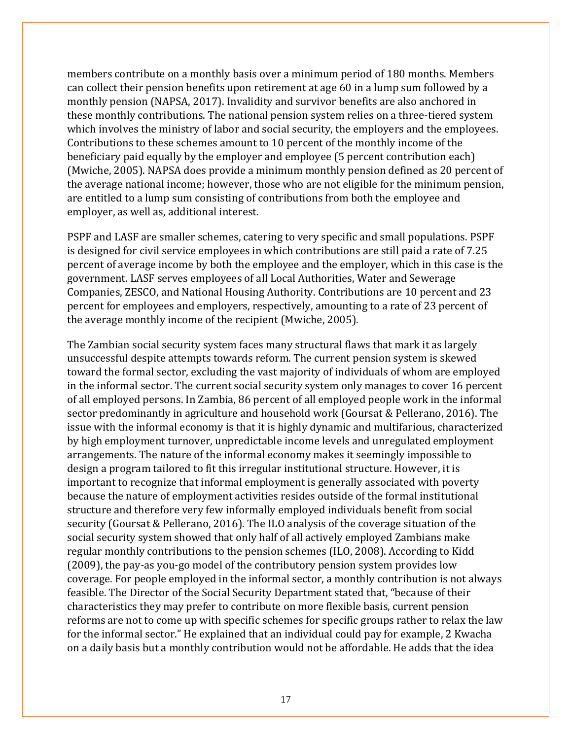members contribute on a monthly basis over a minimum period of 180 months. Members can collect their pension benefits upon retirement at age 60 in a lump sum followed by a monthly pension (NAPSA, 2017). Invalidity and survivor benefits are also anchored in these monthly contributions. The national pension system relies on a three-tiered system which involves the ministry of labor and social security, the employers and the employees. Contributions to these schemes amount to 10 percent of the monthly income of the beneficiary paid equally by the employer and employee (5 percent contribution each) (Mwiche, 2005). NAPSA does provide a minimum monthly pension defined as 20 percent of the average national income; however, those who are not eligible for the minimum pension, are entitled to a lump sum consisting of contributions from both the employee and employer, as well as, additional interest.

PSPF and LASF are smaller schemes, catering to very specific and small populations. PSPF is designed for civil service employees in which contributions are still paid a rate of 7.25 percent of average income by both the employee and the employer, which in this case is the government. LASF serves employees of all Local Authorities, Water and Sewerage Companies, ZESCO, and National Housing Authority. Contributions are 10 percent and 23 percent for employees and employers, respectively, amounting to a rate of 23 percent of the average monthly income of the recipient (Mwiche, 2005).

The Zambian social security system faces many structural flaws that mark it as largely unsuccessful despite attempts towards reform. The current pension system is skewed toward the formal sector, excluding the vast majority of individuals of whom are employed in the informal sector. The current social security system only manages to cover 16 percent of all employed persons. In Zambia, 86 percent of all employed people work in the informal sector predominantly in agriculture and household work (Goursat & Pellerano, 2016). The issue with the informal economy is that it is highly dynamic and multifarious, characterized by high employment turnover, unpredictable income levels and unregulated employment arrangements. The nature of the informal economy makes it seemingly impossible to design a program tailored to fit this irregular institutional structure. However, it is important to recognize that informal employment is generally associated with poverty because the nature of employment activities resides outside of the formal institutional structure and therefore very few informally employed individuals benefit from social security (Goursat & Pellerano, 2016). The ILO analysis of the coverage situation of the social security system showed that only half of all actively employed Zambians make regular monthly contributions to the pension schemes (ILO, 2008). According to Kidd (2009), the pay-as you-go model of the contributory pension system provides low coverage. For people employed in the informal sector, a monthly contribution is not always feasible. The Director of the Social Security Department stated that, "because of their characteristics they may prefer to contribute on more flexible basis, current pension reforms are not to come up with specific schemes for specific groups rather to relax the law for the informal sector." He explained that an individual could pay for example, 2 Kwacha on a daily basis but a monthly contribution would not be affordable. He adds that the idea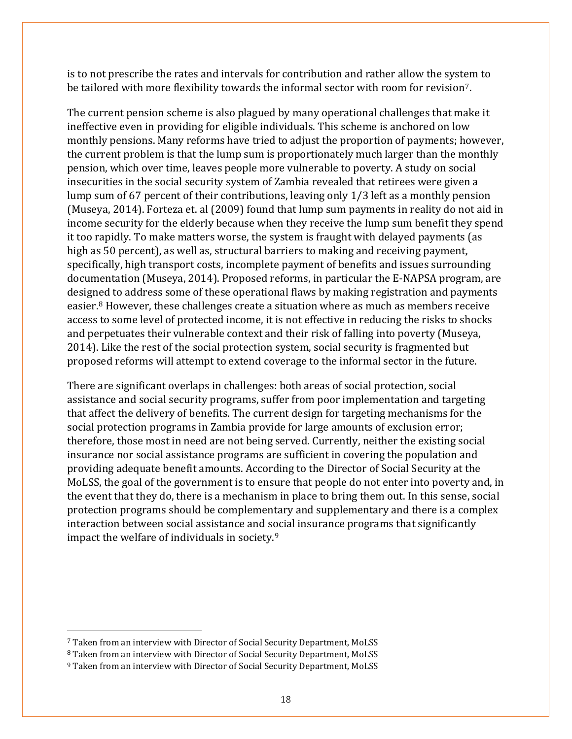is to not prescribe the rates and intervals for contribution and rather allow the system to be tailored with more flexibility towards the informal sector with room for revision<sup>7</sup>.

The current pension scheme is also plagued by many operational challenges that make it ineffective even in providing for eligible individuals. This scheme is anchored on low monthly pensions. Many reforms have tried to adjust the proportion of payments; however, the current problem is that the lump sum is proportionately much larger than the monthly pension, which over time, leaves people more vulnerable to poverty. A study on social insecurities in the social security system of Zambia revealed that retirees were given a lump sum of 67 percent of their contributions, leaving only 1/3 left as a monthly pension (Museya, 2014). Forteza et. al (2009) found that lump sum payments in reality do not aid in income security for the elderly because when they receive the lump sum benefit they spend it too rapidly. To make matters worse, the system is fraught with delayed payments (as high as 50 percent), as well as, structural barriers to making and receiving payment, specifically, high transport costs, incomplete payment of benefits and issues surrounding documentation (Museya, 2014). Proposed reforms, in particular the E-NAPSA program, are design[e](#page-17-1)d to address some of these operational flaws by making registration and payments easier. <sup>8</sup> However, these challenges create a situation where as much as members receive access to some level of protected income, it is not effective in reducing the risks to shocks and perpetuates their vulnerable context and their risk of falling into poverty (Museya, 2014). Like the rest of the social protection system, social security is fragmented but proposed reforms will attempt to extend coverage to the informal sector in the future.

There are significant overlaps in challenges: both areas of social protection, social assistance and social security programs, suffer from poor implementation and targeting that affect the delivery of benefits. The current design for targeting mechanisms for the social protection programs in Zambia provide for large amounts of exclusion error; therefore, those most in need are not being served. Currently, neither the existing social insurance nor social assistance programs are sufficient in covering the population and providing adequate benefit amounts. According to the Director of Social Security at the MoLSS, the goal of the government is to ensure that people do not enter into poverty and, in the event that they do, there is a mechanism in place to bring them out. In this sense, social protection programs should be complementary and supplementary and there is a complex interaction between social assistance and s[oc](#page-17-2)ial insurance programs that significantly impact the welfare of individuals in society. 9

 $\overline{a}$ 

<span id="page-17-0"></span><sup>7</sup> Taken from an interview with Director of Social Security Department, MoLSS

<span id="page-17-1"></span><sup>8</sup> Taken from an interview with Director of Social Security Department, MoLSS

<span id="page-17-2"></span><sup>9</sup> Taken from an interview with Director of Social Security Department, MoLSS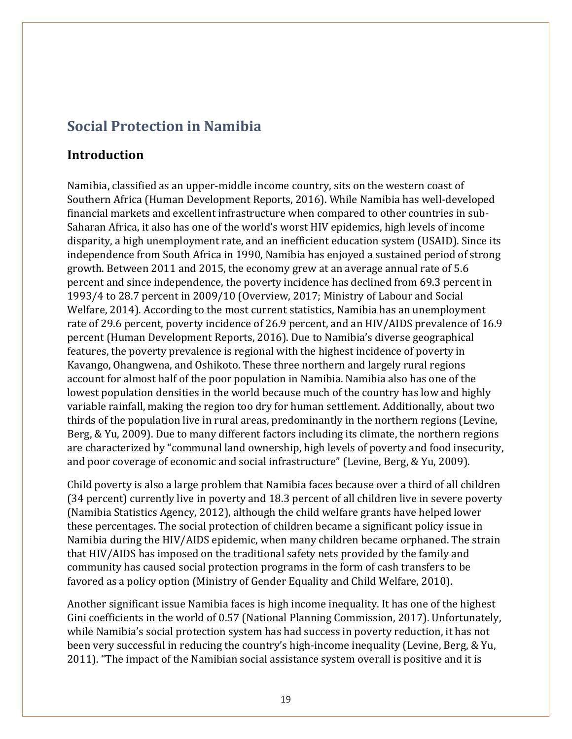### **Social Protection in Namibia**

### **Introduction**

Namibia, classified as an upper-middle income country, sits on the western coast of Southern Africa (Human Development Reports, 2016). While Namibia has well-developed financial markets and excellent infrastructure when compared to other countries in sub-Saharan Africa, it also has one of the world's worst HIV epidemics, high levels of income disparity, a high unemployment rate, and an inefficient education system (USAID). Since its independence from South Africa in 1990, Namibia has enjoyed a sustained period of strong growth. Between 2011 and 2015, the economy grew at an average annual rate of 5.6 percent and since independence, the poverty incidence has declined from 69.3 percent in 1993/4 to 28.7 percent in 2009/10 (Overview, 2017; Ministry of Labour and Social Welfare, 2014). According to the most current statistics, Namibia has an unemployment rate of 29.6 percent, poverty incidence of 26.9 percent, and an HIV/AIDS prevalence of 16.9 percent (Human Development Reports, 2016). Due to Namibia's diverse geographical features, the poverty prevalence is regional with the highest incidence of poverty in Kavango, Ohangwena, and Oshikoto. These three northern and largely rural regions account for almost half of the poor population in Namibia. Namibia also has one of the lowest population densities in the world because much of the country has low and highly variable rainfall, making the region too dry for human settlement. Additionally, about two thirds of the population live in rural areas, predominantly in the northern regions (Levine, Berg, & Yu, 2009). Due to many different factors including its climate, the northern regions are characterized by "communal land ownership, high levels of poverty and food insecurity, and poor coverage of economic and social infrastructure" (Levine, Berg, & Yu, 2009).

Child poverty is also a large problem that Namibia faces because over a third of all children (34 percent) currently live in poverty and 18.3 percent of all children live in severe poverty (Namibia Statistics Agency, 2012), although the child welfare grants have helped lower these percentages. The social protection of children became a significant policy issue in Namibia during the HIV/AIDS epidemic, when many children became orphaned. The strain that HIV/AIDS has imposed on the traditional safety nets provided by the family and community has caused social protection programs in the form of cash transfers to be favored as a policy option (Ministry of Gender Equality and Child Welfare, 2010).

Another significant issue Namibia faces is high income inequality. It has one of the highest Gini coefficients in the world of 0.57 (National Planning Commission, 2017). Unfortunately, while Namibia's social protection system has had success in poverty reduction, it has not been very successful in reducing the country's high-income inequality (Levine, Berg, & Yu, 2011). "The impact of the Namibian social assistance system overall is positive and it is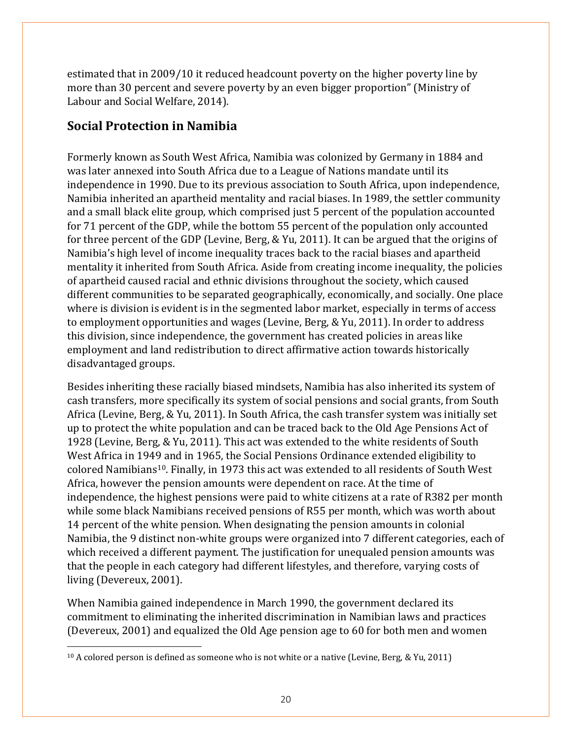estimated that in 2009/10 it reduced headcount poverty on the higher poverty line by more than 30 percent and severe poverty by an even bigger proportion" (Ministry of Labour and Social Welfare, 2014).

### **Social Protection in Namibia**

Formerly known as South West Africa, Namibia was colonized by Germany in 1884 and was later annexed into South Africa due to a League of Nations mandate until its independence in 1990. Due to its previous association to South Africa, upon independence, Namibia inherited an apartheid mentality and racial biases. In 1989, the settler community and a small black elite group, which comprised just 5 percent of the population accounted for 71 percent of the GDP, while the bottom 55 percent of the population only accounted for three percent of the GDP (Levine, Berg, & Yu, 2011). It can be argued that the origins of Namibia's high level of income inequality traces back to the racial biases and apartheid mentality it inherited from South Africa. Aside from creating income inequality, the policies of apartheid caused racial and ethnic divisions throughout the society, which caused different communities to be separated geographically, economically, and socially. One place where is division is evident is in the segmented labor market, especially in terms of access to employment opportunities and wages (Levine, Berg, & Yu, 2011). In order to address this division, since independence, the government has created policies in areas like employment and land redistribution to direct affirmative action towards historically disadvantaged groups.

Besides inheriting these racially biased mindsets, Namibia has also inherited its system of cash transfers, more specifically its system of social pensions and social grants, from South Africa (Levine, Berg, & Yu, 2011). In South Africa, the cash transfer system was initially set up to protect the white population and can be traced back to the Old Age Pensions Act of 1928 (Levine, Berg, & Yu, 2011). This act was extended to the white residents of South West Africa in 1949 and in 1965, the Social Pensions Ordinance extended eligibility to colored Namibians[10.](#page-19-0) Finally, in 1973 this act was extended to all residents of South West Africa, however the pension amounts were dependent on race. At the time of independence, the highest pensions were paid to white citizens at a rate of R382 per month while some black Namibians received pensions of R55 per month, which was worth about 14 percent of the white pension. When designating the pension amounts in colonial Namibia, the 9 distinct non-white groups were organized into 7 different categories, each of which received a different payment. The justification for unequaled pension amounts was that the people in each category had different lifestyles, and therefore, varying costs of living (Devereux, 2001).

When Namibia gained independence in March 1990, the government declared its commitment to eliminating the inherited discrimination in Namibian laws and practices (Devereux, 2001) and equalized the Old Age pension age to 60 for both men and women

<span id="page-19-0"></span> $\overline{a}$ <sup>10</sup> A colored person is defined as someone who is not white or a native (Levine, Berg, & Yu, 2011)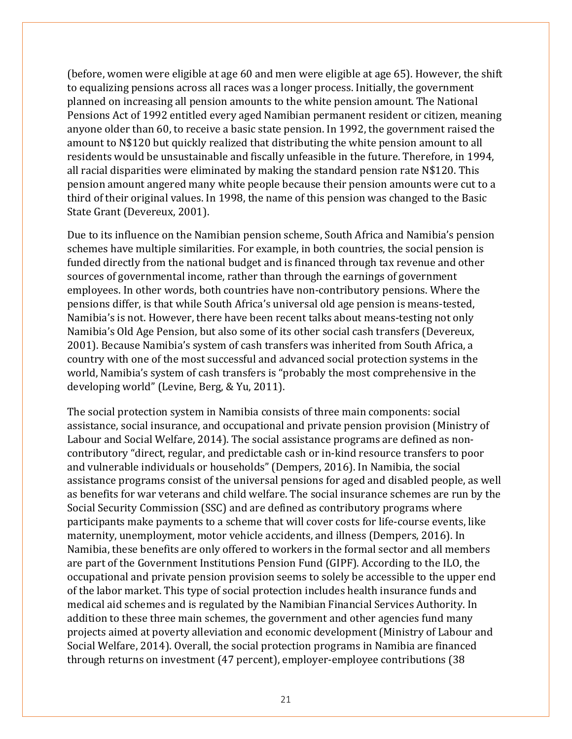(before, women were eligible at age 60 and men were eligible at age 65). However, the shift to equalizing pensions across all races was a longer process. Initially, the government planned on increasing all pension amounts to the white pension amount. The National Pensions Act of 1992 entitled every aged Namibian permanent resident or citizen, meaning anyone older than 60, to receive a basic state pension. In 1992, the government raised the amount to N\$120 but quickly realized that distributing the white pension amount to all residents would be unsustainable and fiscally unfeasible in the future. Therefore, in 1994, all racial disparities were eliminated by making the standard pension rate N\$120. This pension amount angered many white people because their pension amounts were cut to a third of their original values. In 1998, the name of this pension was changed to the Basic State Grant (Devereux, 2001).

Due to its influence on the Namibian pension scheme, South Africa and Namibia's pension schemes have multiple similarities. For example, in both countries, the social pension is funded directly from the national budget and is financed through tax revenue and other sources of governmental income, rather than through the earnings of government employees. In other words, both countries have non-contributory pensions. Where the pensions differ, is that while South Africa's universal old age pension is means-tested, Namibia's is not. However, there have been recent talks about means-testing not only Namibia's Old Age Pension, but also some of its other social cash transfers (Devereux, 2001). Because Namibia's system of cash transfers was inherited from South Africa, a country with one of the most successful and advanced social protection systems in the world, Namibia's system of cash transfers is "probably the most comprehensive in the developing world" (Levine, Berg, & Yu, 2011).

The social protection system in Namibia consists of three main components: social assistance, social insurance, and occupational and private pension provision (Ministry of Labour and Social Welfare, 2014). The social assistance programs are defined as noncontributory "direct, regular, and predictable cash or in-kind resource transfers to poor and vulnerable individuals or households" (Dempers, 2016). In Namibia, the social assistance programs consist of the universal pensions for aged and disabled people, as well as benefits for war veterans and child welfare. The social insurance schemes are run by the Social Security Commission (SSC) and are defined as contributory programs where participants make payments to a scheme that will cover costs for life-course events, like maternity, unemployment, motor vehicle accidents, and illness (Dempers, 2016). In Namibia, these benefits are only offered to workers in the formal sector and all members are part of the Government Institutions Pension Fund (GIPF). According to the ILO, the occupational and private pension provision seems to solely be accessible to the upper end of the labor market. This type of social protection includes health insurance funds and medical aid schemes and is regulated by the Namibian Financial Services Authority. In addition to these three main schemes, the government and other agencies fund many projects aimed at poverty alleviation and economic development (Ministry of Labour and Social Welfare, 2014). Overall, the social protection programs in Namibia are financed through returns on investment (47 percent), employer-employee contributions (38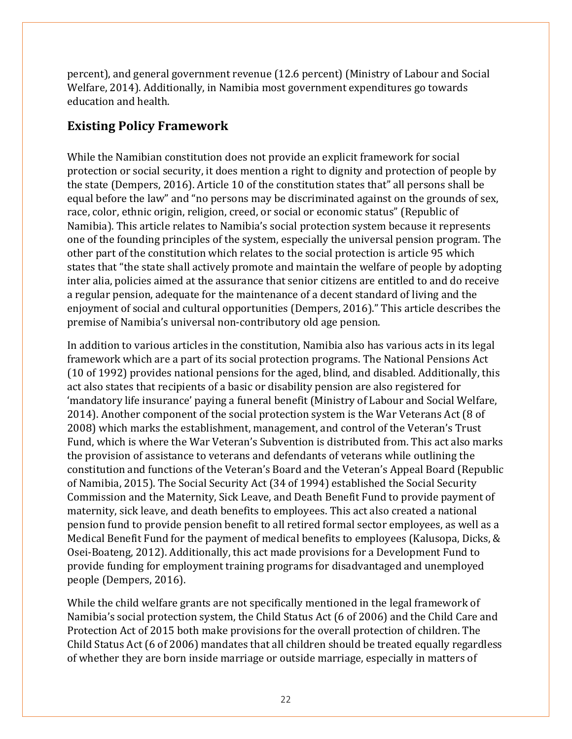percent), and general government revenue (12.6 percent) (Ministry of Labour and Social Welfare, 2014). Additionally, in Namibia most government expenditures go towards education and health.

### **Existing Policy Framework**

While the Namibian constitution does not provide an explicit framework for social protection or social security, it does mention a right to dignity and protection of people by the state (Dempers, 2016). Article 10 of the constitution states that" all persons shall be equal before the law" and "no persons may be discriminated against on the grounds of sex, race, color, ethnic origin, religion, creed, or social or economic status" (Republic of Namibia). This article relates to Namibia's social protection system because it represents one of the founding principles of the system, especially the universal pension program. The other part of the constitution which relates to the social protection is article 95 which states that "the state shall actively promote and maintain the welfare of people by adopting inter alia, policies aimed at the assurance that senior citizens are entitled to and do receive a regular pension, adequate for the maintenance of a decent standard of living and the enjoyment of social and cultural opportunities (Dempers, 2016)." This article describes the premise of Namibia's universal non-contributory old age pension.

In addition to various articles in the constitution, Namibia also has various acts in its legal framework which are a part of its social protection programs. The National Pensions Act (10 of 1992) provides national pensions for the aged, blind, and disabled. Additionally, this act also states that recipients of a basic or disability pension are also registered for 'mandatory life insurance' paying a funeral benefit (Ministry of Labour and Social Welfare, 2014). Another component of the social protection system is the War Veterans Act (8 of 2008) which marks the establishment, management, and control of the Veteran's Trust Fund, which is where the War Veteran's Subvention is distributed from. This act also marks the provision of assistance to veterans and defendants of veterans while outlining the constitution and functions of the Veteran's Board and the Veteran's Appeal Board (Republic of Namibia, 2015). The Social Security Act (34 of 1994) established the Social Security Commission and the Maternity, Sick Leave, and Death Benefit Fund to provide payment of maternity, sick leave, and death benefits to employees. This act also created a national pension fund to provide pension benefit to all retired formal sector employees, as well as a Medical Benefit Fund for the payment of medical benefits to employees (Kalusopa, Dicks, & Osei-Boateng, 2012). Additionally, this act made provisions for a Development Fund to provide funding for employment training programs for disadvantaged and unemployed people (Dempers, 2016).

While the child welfare grants are not specifically mentioned in the legal framework of Namibia's social protection system, the Child Status Act (6 of 2006) and the Child Care and Protection Act of 2015 both make provisions for the overall protection of children. The Child Status Act (6 of 2006) mandates that all children should be treated equally regardless of whether they are born inside marriage or outside marriage, especially in matters of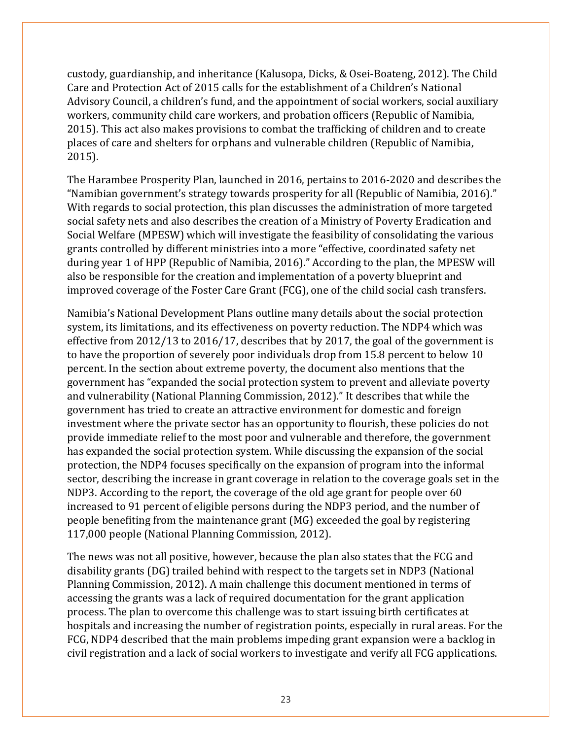custody, guardianship, and inheritance (Kalusopa, Dicks, & Osei-Boateng, 2012). The Child Care and Protection Act of 2015 calls for the establishment of a Children's National Advisory Council, a children's fund, and the appointment of social workers, social auxiliary workers, community child care workers, and probation officers (Republic of Namibia, 2015). This act also makes provisions to combat the trafficking of children and to create places of care and shelters for orphans and vulnerable children (Republic of Namibia, 2015).

The Harambee Prosperity Plan, launched in 2016, pertains to 2016-2020 and describes the "Namibian government's strategy towards prosperity for all (Republic of Namibia, 2016)." With regards to social protection, this plan discusses the administration of more targeted social safety nets and also describes the creation of a Ministry of Poverty Eradication and Social Welfare (MPESW) which will investigate the feasibility of consolidating the various grants controlled by different ministries into a more "effective, coordinated safety net during year 1 of HPP (Republic of Namibia, 2016)." According to the plan, the MPESW will also be responsible for the creation and implementation of a poverty blueprint and improved coverage of the Foster Care Grant (FCG), one of the child social cash transfers.

Namibia's National Development Plans outline many details about the social protection system, its limitations, and its effectiveness on poverty reduction. The NDP4 which was effective from 2012/13 to 2016/17, describes that by 2017, the goal of the government is to have the proportion of severely poor individuals drop from 15.8 percent to below 10 percent. In the section about extreme poverty, the document also mentions that the government has "expanded the social protection system to prevent and alleviate poverty and vulnerability (National Planning Commission, 2012)." It describes that while the government has tried to create an attractive environment for domestic and foreign investment where the private sector has an opportunity to flourish, these policies do not provide immediate relief to the most poor and vulnerable and therefore, the government has expanded the social protection system. While discussing the expansion of the social protection, the NDP4 focuses specifically on the expansion of program into the informal sector, describing the increase in grant coverage in relation to the coverage goals set in the NDP3. According to the report, the coverage of the old age grant for people over 60 increased to 91 percent of eligible persons during the NDP3 period, and the number of people benefiting from the maintenance grant (MG) exceeded the goal by registering 117,000 people (National Planning Commission, 2012).

The news was not all positive, however, because the plan also states that the FCG and disability grants (DG) trailed behind with respect to the targets set in NDP3 (National Planning Commission, 2012). A main challenge this document mentioned in terms of accessing the grants was a lack of required documentation for the grant application process. The plan to overcome this challenge was to start issuing birth certificates at hospitals and increasing the number of registration points, especially in rural areas. For the FCG, NDP4 described that the main problems impeding grant expansion were a backlog in civil registration and a lack of social workers to investigate and verify all FCG applications.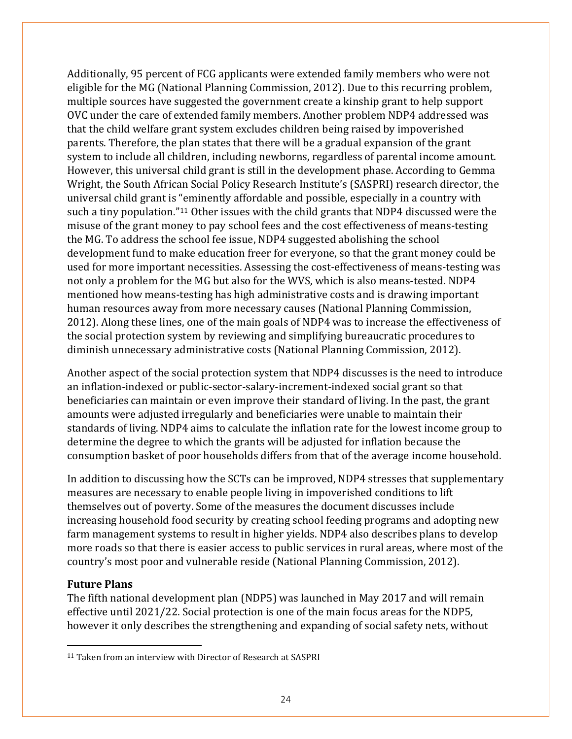Additionally, 95 percent of FCG applicants were extended family members who were not eligible for the MG (National Planning Commission, 2012). Due to this recurring problem, multiple sources have suggested the government create a kinship grant to help support OVC under the care of extended family members. Another problem NDP4 addressed was that the child welfare grant system excludes children being raised by impoverished parents. Therefore, the plan states that there will be a gradual expansion of the grant system to include all children, including newborns, regardless of parental income amount. However, this universal child grant is still in the development phase. According to Gemma Wright, the South African Social Policy Research Institute's (SASPRI) research director, the universal child grant is "eminently affordable and possible, especially in a country with such a tiny population."[11](#page-23-0) Other issues with the child grants that NDP4 discussed were the misuse of the grant money to pay school fees and the cost effectiveness of means-testing the MG. To address the school fee issue, NDP4 suggested abolishing the school development fund to make education freer for everyone, so that the grant money could be used for more important necessities. Assessing the cost-effectiveness of means-testing was not only a problem for the MG but also for the WVS, which is also means-tested. NDP4 mentioned how means-testing has high administrative costs and is drawing important human resources away from more necessary causes (National Planning Commission, 2012). Along these lines, one of the main goals of NDP4 was to increase the effectiveness of the social protection system by reviewing and simplifying bureaucratic procedures to diminish unnecessary administrative costs (National Planning Commission, 2012).

Another aspect of the social protection system that NDP4 discusses is the need to introduce an inflation-indexed or public-sector-salary-increment-indexed social grant so that beneficiaries can maintain or even improve their standard of living. In the past, the grant amounts were adjusted irregularly and beneficiaries were unable to maintain their standards of living. NDP4 aims to calculate the inflation rate for the lowest income group to determine the degree to which the grants will be adjusted for inflation because the consumption basket of poor households differs from that of the average income household.

In addition to discussing how the SCTs can be improved, NDP4 stresses that supplementary measures are necessary to enable people living in impoverished conditions to lift themselves out of poverty. Some of the measures the document discusses include increasing household food security by creating school feeding programs and adopting new farm management systems to result in higher yields. NDP4 also describes plans to develop more roads so that there is easier access to public services in rural areas, where most of the country's most poor and vulnerable reside (National Planning Commission, 2012).

#### **Future Plans**

 $\overline{a}$ 

The fifth national development plan (NDP5) was launched in May 2017 and will remain effective until 2021/22. Social protection is one of the main focus areas for the NDP5, however it only describes the strengthening and expanding of social safety nets, without

<span id="page-23-0"></span><sup>&</sup>lt;sup>11</sup> Taken from an interview with Director of Research at SASPRI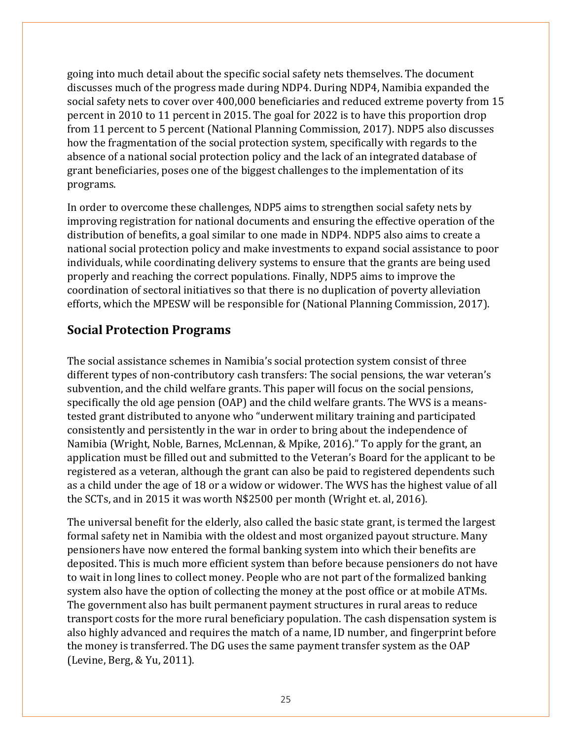going into much detail about the specific social safety nets themselves. The document discusses much of the progress made during NDP4. During NDP4, Namibia expanded the social safety nets to cover over 400,000 beneficiaries and reduced extreme poverty from 15 percent in 2010 to 11 percent in 2015. The goal for 2022 is to have this proportion drop from 11 percent to 5 percent (National Planning Commission, 2017). NDP5 also discusses how the fragmentation of the social protection system, specifically with regards to the absence of a national social protection policy and the lack of an integrated database of grant beneficiaries, poses one of the biggest challenges to the implementation of its programs.

In order to overcome these challenges, NDP5 aims to strengthen social safety nets by improving registration for national documents and ensuring the effective operation of the distribution of benefits, a goal similar to one made in NDP4. NDP5 also aims to create a national social protection policy and make investments to expand social assistance to poor individuals, while coordinating delivery systems to ensure that the grants are being used properly and reaching the correct populations. Finally, NDP5 aims to improve the coordination of sectoral initiatives so that there is no duplication of poverty alleviation efforts, which the MPESW will be responsible for (National Planning Commission, 2017).

### **Social Protection Programs**

The social assistance schemes in Namibia's social protection system consist of three different types of non-contributory cash transfers: The social pensions, the war veteran's subvention, and the child welfare grants. This paper will focus on the social pensions, specifically the old age pension (OAP) and the child welfare grants. The WVS is a meanstested grant distributed to anyone who "underwent military training and participated consistently and persistently in the war in order to bring about the independence of Namibia (Wright, Noble, Barnes, McLennan, & Mpike, 2016)." To apply for the grant, an application must be filled out and submitted to the Veteran's Board for the applicant to be registered as a veteran, although the grant can also be paid to registered dependents such as a child under the age of 18 or a widow or widower. The WVS has the highest value of all the SCTs, and in 2015 it was worth N\$2500 per month (Wright et. al, 2016).

The universal benefit for the elderly, also called the basic state grant, is termed the largest formal safety net in Namibia with the oldest and most organized payout structure. Many pensioners have now entered the formal banking system into which their benefits are deposited. This is much more efficient system than before because pensioners do not have to wait in long lines to collect money. People who are not part of the formalized banking system also have the option of collecting the money at the post office or at mobile ATMs. The government also has built permanent payment structures in rural areas to reduce transport costs for the more rural beneficiary population. The cash dispensation system is also highly advanced and requires the match of a name, ID number, and fingerprint before the money is transferred. The DG uses the same payment transfer system as the OAP (Levine, Berg, & Yu, 2011).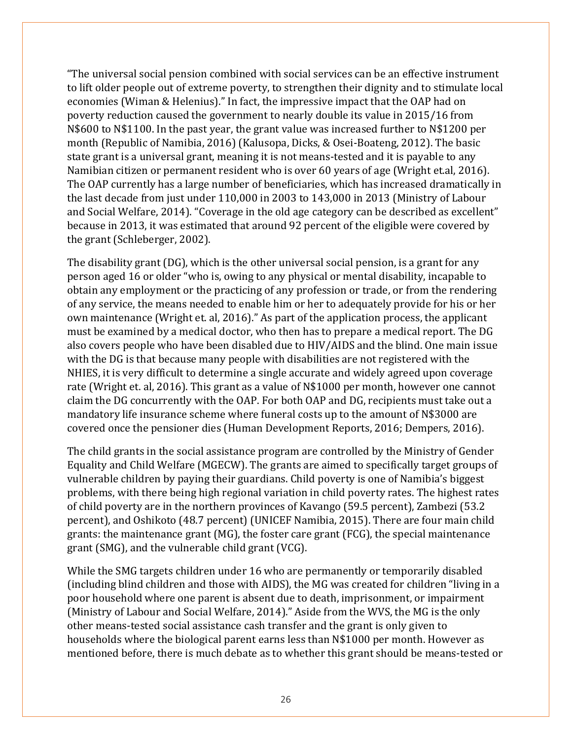"The universal social pension combined with social services can be an effective instrument to lift older people out of extreme poverty, to strengthen their dignity and to stimulate local economies (Wiman & Helenius)." In fact, the impressive impact that the OAP had on poverty reduction caused the government to nearly double its value in 2015/16 from N\$600 to N\$1100. In the past year, the grant value was increased further to N\$1200 per month (Republic of Namibia, 2016) (Kalusopa, Dicks, & Osei-Boateng, 2012). The basic state grant is a universal grant, meaning it is not means-tested and it is payable to any Namibian citizen or permanent resident who is over 60 years of age (Wright et.al, 2016). The OAP currently has a large number of beneficiaries, which has increased dramatically in the last decade from just under 110,000 in 2003 to 143,000 in 2013 (Ministry of Labour and Social Welfare, 2014). "Coverage in the old age category can be described as excellent" because in 2013, it was estimated that around 92 percent of the eligible were covered by the grant (Schleberger, 2002).

The disability grant (DG), which is the other universal social pension, is a grant for any person aged 16 or older "who is, owing to any physical or mental disability, incapable to obtain any employment or the practicing of any profession or trade, or from the rendering of any service, the means needed to enable him or her to adequately provide for his or her own maintenance (Wright et. al, 2016)." As part of the application process, the applicant must be examined by a medical doctor, who then has to prepare a medical report. The DG also covers people who have been disabled due to HIV/AIDS and the blind. One main issue with the DG is that because many people with disabilities are not registered with the NHIES, it is very difficult to determine a single accurate and widely agreed upon coverage rate (Wright et. al, 2016). This grant as a value of N\$1000 per month, however one cannot claim the DG concurrently with the OAP. For both OAP and DG, recipients must take out a mandatory life insurance scheme where funeral costs up to the amount of N\$3000 are covered once the pensioner dies (Human Development Reports, 2016; Dempers, 2016).

The child grants in the social assistance program are controlled by the Ministry of Gender Equality and Child Welfare (MGECW). The grants are aimed to specifically target groups of vulnerable children by paying their guardians. Child poverty is one of Namibia's biggest problems, with there being high regional variation in child poverty rates. The highest rates of child poverty are in the northern provinces of Kavango (59.5 percent), Zambezi (53.2 percent), and Oshikoto (48.7 percent) (UNICEF Namibia, 2015). There are four main child grants: the maintenance grant (MG), the foster care grant (FCG), the special maintenance grant (SMG), and the vulnerable child grant (VCG).

While the SMG targets children under 16 who are permanently or temporarily disabled (including blind children and those with AIDS), the MG was created for children "living in a poor household where one parent is absent due to death, imprisonment, or impairment (Ministry of Labour and Social Welfare, 2014)." Aside from the WVS, the MG is the only other means-tested social assistance cash transfer and the grant is only given to households where the biological parent earns less than N\$1000 per month. However as mentioned before, there is much debate as to whether this grant should be means-tested or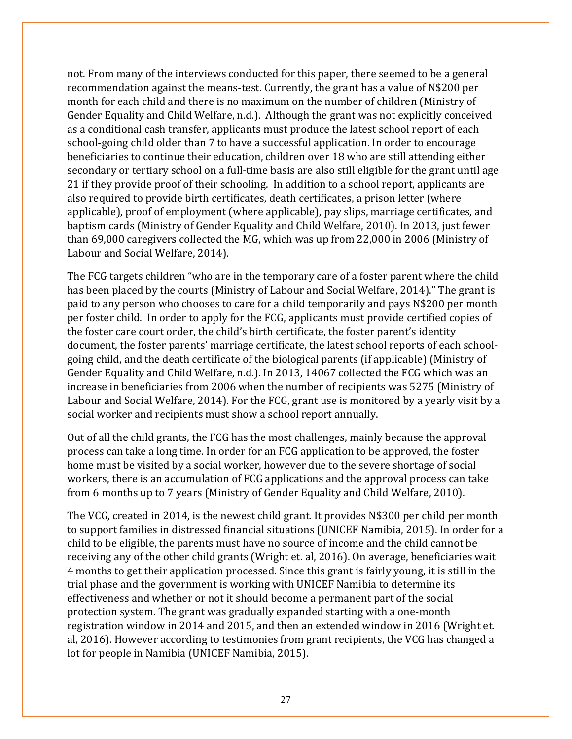not. From many of the interviews conducted for this paper, there seemed to be a general recommendation against the means-test. Currently, the grant has a value of N\$200 per month for each child and there is no maximum on the number of children (Ministry of Gender Equality and Child Welfare, n.d.). Although the grant was not explicitly conceived as a conditional cash transfer, applicants must produce the latest school report of each school-going child older than 7 to have a successful application. In order to encourage beneficiaries to continue their education, children over 18 who are still attending either secondary or tertiary school on a full-time basis are also still eligible for the grant until age 21 if they provide proof of their schooling. In addition to a school report, applicants are also required to provide birth certificates, death certificates, a prison letter (where applicable), proof of employment (where applicable), pay slips, marriage certificates, and baptism cards (Ministry of Gender Equality and Child Welfare, 2010). In 2013, just fewer than 69,000 caregivers collected the MG, which was up from 22,000 in 2006 (Ministry of Labour and Social Welfare, 2014).

The FCG targets children "who are in the temporary care of a foster parent where the child has been placed by the courts (Ministry of Labour and Social Welfare, 2014)." The grant is paid to any person who chooses to care for a child temporarily and pays N\$200 per month per foster child. In order to apply for the FCG, applicants must provide certified copies of the foster care court order, the child's birth certificate, the foster parent's identity document, the foster parents' marriage certificate, the latest school reports of each schoolgoing child, and the death certificate of the biological parents (if applicable) (Ministry of Gender Equality and Child Welfare, n.d.). In 2013, 14067 collected the FCG which was an increase in beneficiaries from 2006 when the number of recipients was 5275 (Ministry of Labour and Social Welfare, 2014). For the FCG, grant use is monitored by a yearly visit by a social worker and recipients must show a school report annually.

Out of all the child grants, the FCG has the most challenges, mainly because the approval process can take a long time. In order for an FCG application to be approved, the foster home must be visited by a social worker, however due to the severe shortage of social workers, there is an accumulation of FCG applications and the approval process can take from 6 months up to 7 years (Ministry of Gender Equality and Child Welfare, 2010).

The VCG, created in 2014, is the newest child grant. It provides N\$300 per child per month to support families in distressed financial situations (UNICEF Namibia, 2015). In order for a child to be eligible, the parents must have no source of income and the child cannot be receiving any of the other child grants (Wright et. al, 2016). On average, beneficiaries wait 4 months to get their application processed. Since this grant is fairly young, it is still in the trial phase and the government is working with UNICEF Namibia to determine its effectiveness and whether or not it should become a permanent part of the social protection system. The grant was gradually expanded starting with a one-month registration window in 2014 and 2015, and then an extended window in 2016 (Wright et. al, 2016). However according to testimonies from grant recipients, the VCG has changed a lot for people in Namibia (UNICEF Namibia, 2015).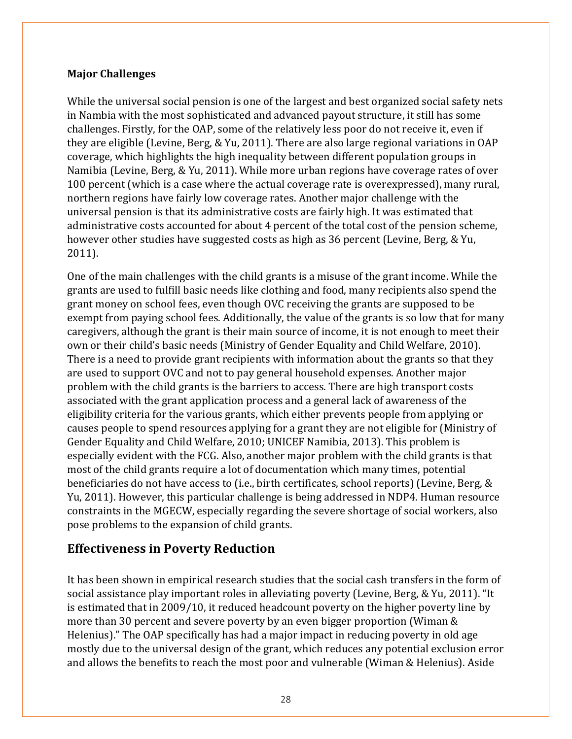#### **Major Challenges**

While the universal social pension is one of the largest and best organized social safety nets in Nambia with the most sophisticated and advanced payout structure, it still has some challenges. Firstly, for the OAP, some of the relatively less poor do not receive it, even if they are eligible (Levine, Berg, & Yu, 2011). There are also large regional variations in OAP coverage, which highlights the high inequality between different population groups in Namibia (Levine, Berg, & Yu, 2011). While more urban regions have coverage rates of over 100 percent (which is a case where the actual coverage rate is overexpressed), many rural, northern regions have fairly low coverage rates. Another major challenge with the universal pension is that its administrative costs are fairly high. It was estimated that administrative costs accounted for about 4 percent of the total cost of the pension scheme, however other studies have suggested costs as high as 36 percent (Levine, Berg, & Yu, 2011).

One of the main challenges with the child grants is a misuse of the grant income. While the grants are used to fulfill basic needs like clothing and food, many recipients also spend the grant money on school fees, even though OVC receiving the grants are supposed to be exempt from paying school fees. Additionally, the value of the grants is so low that for many caregivers, although the grant is their main source of income, it is not enough to meet their own or their child's basic needs (Ministry of Gender Equality and Child Welfare, 2010). There is a need to provide grant recipients with information about the grants so that they are used to support OVC and not to pay general household expenses. Another major problem with the child grants is the barriers to access. There are high transport costs associated with the grant application process and a general lack of awareness of the eligibility criteria for the various grants, which either prevents people from applying or causes people to spend resources applying for a grant they are not eligible for (Ministry of Gender Equality and Child Welfare, 2010; UNICEF Namibia, 2013). This problem is especially evident with the FCG. Also, another major problem with the child grants is that most of the child grants require a lot of documentation which many times, potential beneficiaries do not have access to (i.e., birth certificates, school reports) (Levine, Berg, & Yu, 2011). However, this particular challenge is being addressed in NDP4. Human resource constraints in the MGECW, especially regarding the severe shortage of social workers, also pose problems to the expansion of child grants.

#### **Effectiveness in Poverty Reduction**

It has been shown in empirical research studies that the social cash transfers in the form of social assistance play important roles in alleviating poverty (Levine, Berg, & Yu, 2011). "It is estimated that in 2009/10, it reduced headcount poverty on the higher poverty line by more than 30 percent and severe poverty by an even bigger proportion (Wiman & Helenius)." The OAP specifically has had a major impact in reducing poverty in old age mostly due to the universal design of the grant, which reduces any potential exclusion error and allows the benefits to reach the most poor and vulnerable (Wiman & Helenius). Aside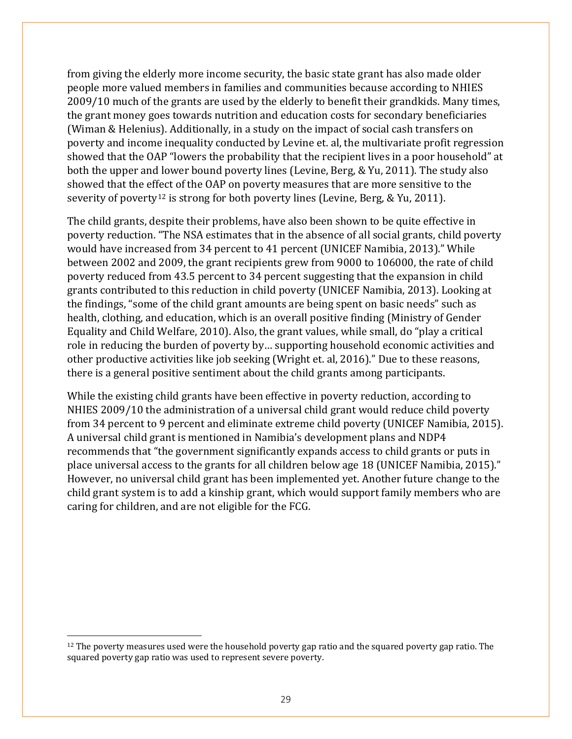from giving the elderly more income security, the basic state grant has also made older people more valued members in families and communities because according to NHIES 2009/10 much of the grants are used by the elderly to benefit their grandkids. Many times, the grant money goes towards nutrition and education costs for secondary beneficiaries (Wiman & Helenius). Additionally, in a study on the impact of social cash transfers on poverty and income inequality conducted by Levine et. al, the multivariate profit regression showed that the OAP "lowers the probability that the recipient lives in a poor household" at both the upper and lower bound poverty lines (Levine, Berg, & Yu, 2011). The study also showed that the effect of the OAP on poverty measures that are more sensitive to the severity of poverty<sup>[12](#page-28-0)</sup> is strong for both poverty lines (Levine, Berg,  $&$  Yu, 2011).

The child grants, despite their problems, have also been shown to be quite effective in poverty reduction. "The NSA estimates that in the absence of all social grants, child poverty would have increased from 34 percent to 41 percent (UNICEF Namibia, 2013)." While between 2002 and 2009, the grant recipients grew from 9000 to 106000, the rate of child poverty reduced from 43.5 percent to 34 percent suggesting that the expansion in child grants contributed to this reduction in child poverty (UNICEF Namibia, 2013). Looking at the findings, "some of the child grant amounts are being spent on basic needs" such as health, clothing, and education, which is an overall positive finding (Ministry of Gender Equality and Child Welfare, 2010). Also, the grant values, while small, do "play a critical role in reducing the burden of poverty by… supporting household economic activities and other productive activities like job seeking (Wright et. al, 2016)." Due to these reasons, there is a general positive sentiment about the child grants among participants.

While the existing child grants have been effective in poverty reduction, according to NHIES 2009/10 the administration of a universal child grant would reduce child poverty from 34 percent to 9 percent and eliminate extreme child poverty (UNICEF Namibia, 2015). A universal child grant is mentioned in Namibia's development plans and NDP4 recommends that "the government significantly expands access to child grants or puts in place universal access to the grants for all children below age 18 (UNICEF Namibia, 2015)." However, no universal child grant has been implemented yet. Another future change to the child grant system is to add a kinship grant, which would support family members who are caring for children, and are not eligible for the FCG.

 $\overline{a}$ 

<span id="page-28-0"></span> $12$  The poverty measures used were the household poverty gap ratio and the squared poverty gap ratio. The squared poverty gap ratio was used to represent severe poverty.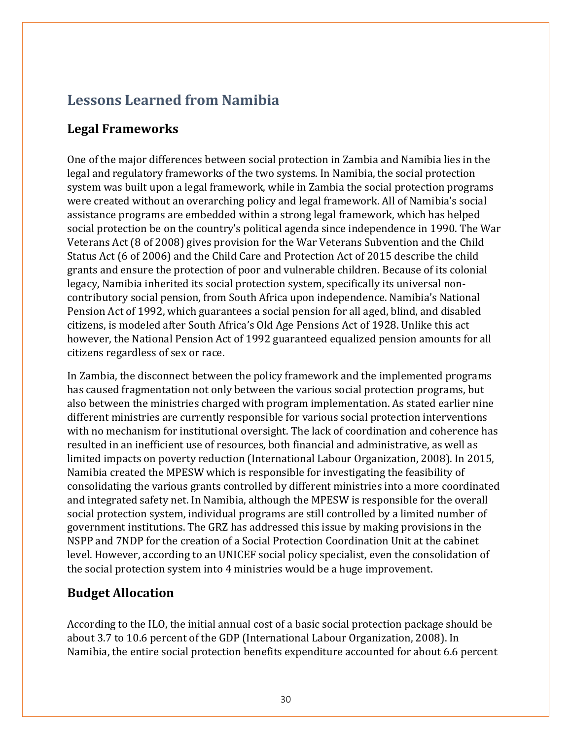# **Lessons Learned from Namibia**

### **Legal Frameworks**

One of the major differences between social protection in Zambia and Namibia lies in the legal and regulatory frameworks of the two systems. In Namibia, the social protection system was built upon a legal framework, while in Zambia the social protection programs were created without an overarching policy and legal framework. All of Namibia's social assistance programs are embedded within a strong legal framework, which has helped social protection be on the country's political agenda since independence in 1990. The War Veterans Act (8 of 2008) gives provision for the War Veterans Subvention and the Child Status Act (6 of 2006) and the Child Care and Protection Act of 2015 describe the child grants and ensure the protection of poor and vulnerable children. Because of its colonial legacy, Namibia inherited its social protection system, specifically its universal noncontributory social pension, from South Africa upon independence. Namibia's National Pension Act of 1992, which guarantees a social pension for all aged, blind, and disabled citizens, is modeled after South Africa's Old Age Pensions Act of 1928. Unlike this act however, the National Pension Act of 1992 guaranteed equalized pension amounts for all citizens regardless of sex or race.

In Zambia, the disconnect between the policy framework and the implemented programs has caused fragmentation not only between the various social protection programs, but also between the ministries charged with program implementation. As stated earlier nine different ministries are currently responsible for various social protection interventions with no mechanism for institutional oversight. The lack of coordination and coherence has resulted in an inefficient use of resources, both financial and administrative, as well as limited impacts on poverty reduction (International Labour Organization, 2008). In 2015, Namibia created the MPESW which is responsible for investigating the feasibility of consolidating the various grants controlled by different ministries into a more coordinated and integrated safety net. In Namibia, although the MPESW is responsible for the overall social protection system, individual programs are still controlled by a limited number of government institutions. The GRZ has addressed this issue by making provisions in the NSPP and 7NDP for the creation of a Social Protection Coordination Unit at the cabinet level. However, according to an UNICEF social policy specialist, even the consolidation of the social protection system into 4 ministries would be a huge improvement.

### **Budget Allocation**

According to the ILO, the initial annual cost of a basic social protection package should be about 3.7 to 10.6 percent of the GDP (International Labour Organization, 2008). In Namibia, the entire social protection benefits expenditure accounted for about 6.6 percent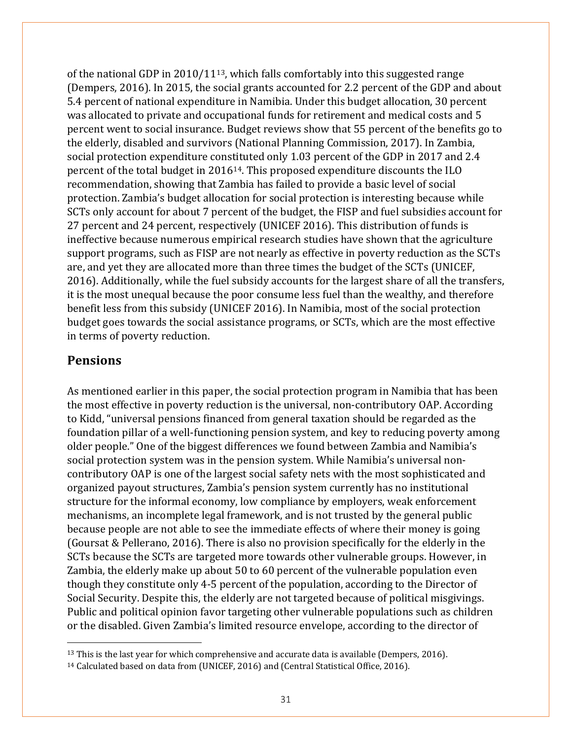of the national GDP in  $2010/11^{13}$  $2010/11^{13}$  $2010/11^{13}$ , which falls comfortably into this suggested range (Dempers, 2016). In 2015, the social grants accounted for 2.2 percent of the GDP and about 5.4 percent of national expenditure in Namibia. Under this budget allocation, 30 percent was allocated to private and occupational funds for retirement and medical costs and 5 percent went to social insurance. Budget reviews show that 55 percent of the benefits go to the elderly, disabled and survivors (National Planning Commission, 2017). In Zambia, social protection expenditure constituted only 1.03 percent of the GDP in 2017 and 2.4 percent of the total budget in 2016[14](#page-30-1). This proposed expenditure discounts the ILO recommendation, showing that Zambia has failed to provide a basic level of social protection. Zambia's budget allocation for social protection is interesting because while SCTs only account for about 7 percent of the budget, the FISP and fuel subsidies account for 27 percent and 24 percent, respectively (UNICEF 2016). This distribution of funds is ineffective because numerous empirical research studies have shown that the agriculture support programs, such as FISP are not nearly as effective in poverty reduction as the SCTs are, and yet they are allocated more than three times the budget of the SCTs (UNICEF, 2016). Additionally, while the fuel subsidy accounts for the largest share of all the transfers, it is the most unequal because the poor consume less fuel than the wealthy, and therefore benefit less from this subsidy (UNICEF 2016). In Namibia, most of the social protection budget goes towards the social assistance programs, or SCTs, which are the most effective in terms of poverty reduction.

#### **Pensions**

 $\overline{a}$ 

As mentioned earlier in this paper, the social protection program in Namibia that has been the most effective in poverty reduction is the universal, non-contributory OAP. According to Kidd, "universal pensions financed from general taxation should be regarded as the foundation pillar of a well-functioning pension system, and key to reducing poverty among older people." One of the biggest differences we found between Zambia and Namibia's social protection system was in the pension system. While Namibia's universal noncontributory OAP is one of the largest social safety nets with the most sophisticated and organized payout structures, Zambia's pension system currently has no institutional structure for the informal economy, low compliance by employers, weak enforcement mechanisms, an incomplete legal framework, and is not trusted by the general public because people are not able to see the immediate effects of where their money is going (Goursat & Pellerano, 2016). There is also no provision specifically for the elderly in the SCTs because the SCTs are targeted more towards other vulnerable groups. However, in Zambia, the elderly make up about 50 to 60 percent of the vulnerable population even though they constitute only 4-5 percent of the population, according to the Director of Social Security. Despite this, the elderly are not targeted because of political misgivings. Public and political opinion favor targeting other vulnerable populations such as children or the disabled. Given Zambia's limited resource envelope, according to the director of

<span id="page-30-0"></span> $13$  This is the last year for which comprehensive and accurate data is available (Dempers, 2016).

<span id="page-30-1"></span><sup>14</sup> Calculated based on data from (UNICEF, 2016) and (Central Statistical Office, 2016).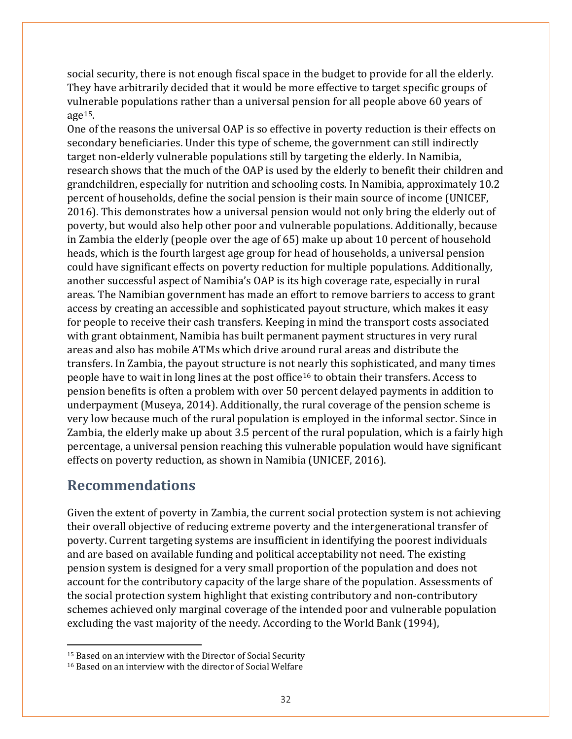social security, there is not enough fiscal space in the budget to provide for all the elderly. They have arbitrarily decided that it would be more effective to target specific groups of vulnerable populations rather than a universal pension for all people above 60 years of age $15$ .

One of the reasons the universal OAP is so effective in poverty reduction is their effects on secondary beneficiaries. Under this type of scheme, the government can still indirectly target non-elderly vulnerable populations still by targeting the elderly. In Namibia, research shows that the much of the OAP is used by the elderly to benefit their children and grandchildren, especially for nutrition and schooling costs. In Namibia, approximately 10.2 percent of households, define the social pension is their main source of income (UNICEF, 2016). This demonstrates how a universal pension would not only bring the elderly out of poverty, but would also help other poor and vulnerable populations. Additionally, because in Zambia the elderly (people over the age of 65) make up about 10 percent of household heads, which is the fourth largest age group for head of households, a universal pension could have significant effects on poverty reduction for multiple populations. Additionally, another successful aspect of Namibia's OAP is its high coverage rate, especially in rural areas. The Namibian government has made an effort to remove barriers to access to grant access by creating an accessible and sophisticated payout structure, which makes it easy for people to receive their cash transfers. Keeping in mind the transport costs associated with grant obtainment, Namibia has built permanent payment structures in very rural areas and also has mobile ATMs which drive around rural areas and distribute the transfers. In Zambia, the payout structure is not nearly this sophisticated, and many times people have to wait in long lines at the post office[16](#page-31-1) to obtain their transfers. Access to pension benefits is often a problem with over 50 percent delayed payments in addition to underpayment (Museya, 2014). Additionally, the rural coverage of the pension scheme is very low because much of the rural population is employed in the informal sector. Since in Zambia, the elderly make up about 3.5 percent of the rural population, which is a fairly high percentage, a universal pension reaching this vulnerable population would have significant effects on poverty reduction, as shown in Namibia (UNICEF, 2016).

# **Recommendations**

l

Given the extent of poverty in Zambia, the current social protection system is not achieving their overall objective of reducing extreme poverty and the intergenerational transfer of poverty. Current targeting systems are insufficient in identifying the poorest individuals and are based on available funding and political acceptability not need. The existing pension system is designed for a very small proportion of the population and does not account for the contributory capacity of the large share of the population. Assessments of the social protection system highlight that existing contributory and non-contributory schemes achieved only marginal coverage of the intended poor and vulnerable population excluding the vast majority of the needy. According to the World Bank (1994),

<span id="page-31-0"></span><sup>&</sup>lt;sup>15</sup> Based on an interview with the Director of Social Security

<span id="page-31-1"></span><sup>16</sup> Based on an interview with the director of Social Welfare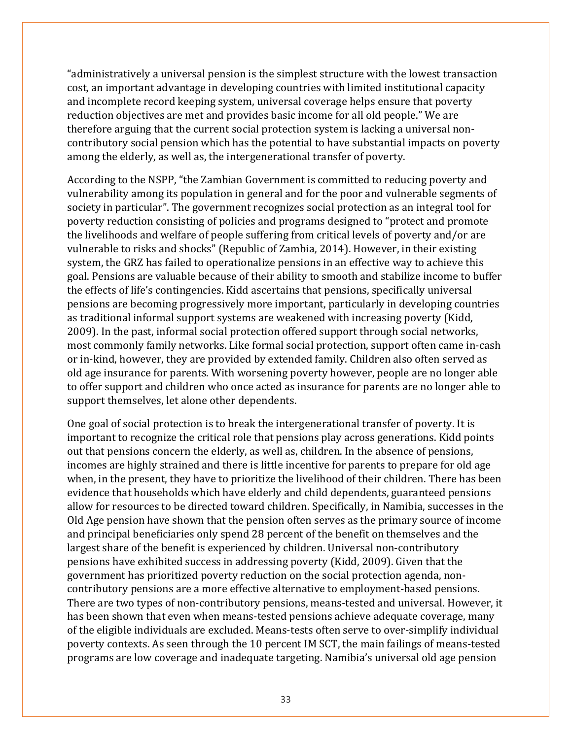"administratively a universal pension is the simplest structure with the lowest transaction cost, an important advantage in developing countries with limited institutional capacity and incomplete record keeping system, universal coverage helps ensure that poverty reduction objectives are met and provides basic income for all old people." We are therefore arguing that the current social protection system is lacking a universal noncontributory social pension which has the potential to have substantial impacts on poverty among the elderly, as well as, the intergenerational transfer of poverty.

According to the NSPP, "the Zambian Government is committed to reducing poverty and vulnerability among its population in general and for the poor and vulnerable segments of society in particular". The government recognizes social protection as an integral tool for poverty reduction consisting of policies and programs designed to "protect and promote the livelihoods and welfare of people suffering from critical levels of poverty and/or are vulnerable to risks and shocks" (Republic of Zambia, 2014). However, in their existing system, the GRZ has failed to operationalize pensions in an effective way to achieve this goal. Pensions are valuable because of their ability to smooth and stabilize income to buffer the effects of life's contingencies. Kidd ascertains that pensions, specifically universal pensions are becoming progressively more important, particularly in developing countries as traditional informal support systems are weakened with increasing poverty (Kidd, 2009). In the past, informal social protection offered support through social networks, most commonly family networks. Like formal social protection, support often came in-cash or in-kind, however, they are provided by extended family. Children also often served as old age insurance for parents. With worsening poverty however, people are no longer able to offer support and children who once acted as insurance for parents are no longer able to support themselves, let alone other dependents.

One goal of social protection is to break the intergenerational transfer of poverty. It is important to recognize the critical role that pensions play across generations. Kidd points out that pensions concern the elderly, as well as, children. In the absence of pensions, incomes are highly strained and there is little incentive for parents to prepare for old age when, in the present, they have to prioritize the livelihood of their children. There has been evidence that households which have elderly and child dependents, guaranteed pensions allow for resources to be directed toward children. Specifically, in Namibia, successes in the Old Age pension have shown that the pension often serves as the primary source of income and principal beneficiaries only spend 28 percent of the benefit on themselves and the largest share of the benefit is experienced by children. Universal non-contributory pensions have exhibited success in addressing poverty (Kidd, 2009). Given that the government has prioritized poverty reduction on the social protection agenda, noncontributory pensions are a more effective alternative to employment-based pensions. There are two types of non-contributory pensions, means-tested and universal. However, it has been shown that even when means-tested pensions achieve adequate coverage, many of the eligible individuals are excluded. Means-tests often serve to over-simplify individual poverty contexts. As seen through the 10 percent IM SCT, the main failings of means-tested programs are low coverage and inadequate targeting. Namibia's universal old age pension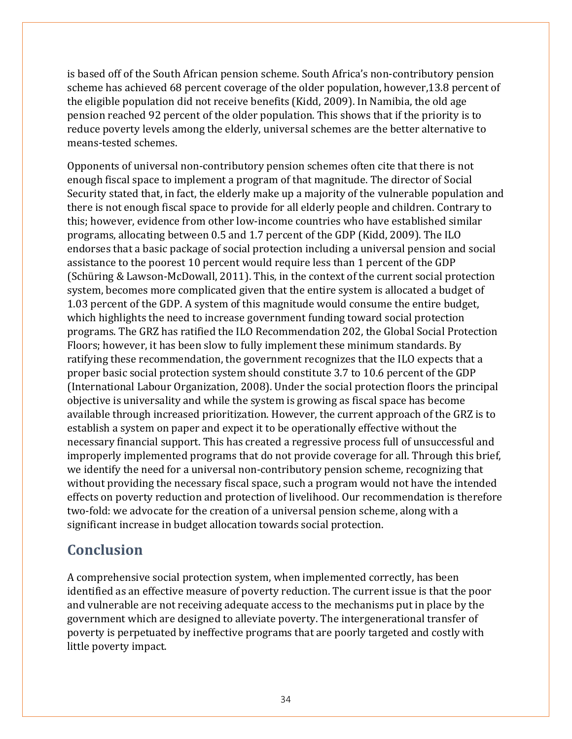is based off of the South African pension scheme. South Africa's non-contributory pension scheme has achieved 68 percent coverage of the older population, however,13.8 percent of the eligible population did not receive benefits (Kidd, 2009). In Namibia, the old age pension reached 92 percent of the older population. This shows that if the priority is to reduce poverty levels among the elderly, universal schemes are the better alternative to means-tested schemes.

Opponents of universal non-contributory pension schemes often cite that there is not enough fiscal space to implement a program of that magnitude. The director of Social Security stated that, in fact, the elderly make up a majority of the vulnerable population and there is not enough fiscal space to provide for all elderly people and children. Contrary to this; however, evidence from other low-income countries who have established similar programs, allocating between 0.5 and 1.7 percent of the GDP (Kidd, 2009). The ILO endorses that a basic package of social protection including a universal pension and social assistance to the poorest 10 percent would require less than 1 percent of the GDP (Schüring & Lawson-McDowall, 2011). This, in the context of the current social protection system, becomes more complicated given that the entire system is allocated a budget of 1.03 percent of the GDP. A system of this magnitude would consume the entire budget, which highlights the need to increase government funding toward social protection programs. The GRZ has ratified the ILO Recommendation 202, the Global Social Protection Floors; however, it has been slow to fully implement these minimum standards. By ratifying these recommendation, the government recognizes that the ILO expects that a proper basic social protection system should constitute 3.7 to 10.6 percent of the GDP (International Labour Organization, 2008). Under the social protection floors the principal objective is universality and while the system is growing as fiscal space has become available through increased prioritization. However, the current approach of the GRZ is to establish a system on paper and expect it to be operationally effective without the necessary financial support. This has created a regressive process full of unsuccessful and improperly implemented programs that do not provide coverage for all. Through this brief, we identify the need for a universal non-contributory pension scheme, recognizing that without providing the necessary fiscal space, such a program would not have the intended effects on poverty reduction and protection of livelihood. Our recommendation is therefore two-fold: we advocate for the creation of a universal pension scheme, along with a significant increase in budget allocation towards social protection.

# **Conclusion**

A comprehensive social protection system, when implemented correctly, has been identified as an effective measure of poverty reduction. The current issue is that the poor and vulnerable are not receiving adequate access to the mechanisms put in place by the government which are designed to alleviate poverty. The intergenerational transfer of poverty is perpetuated by ineffective programs that are poorly targeted and costly with little poverty impact.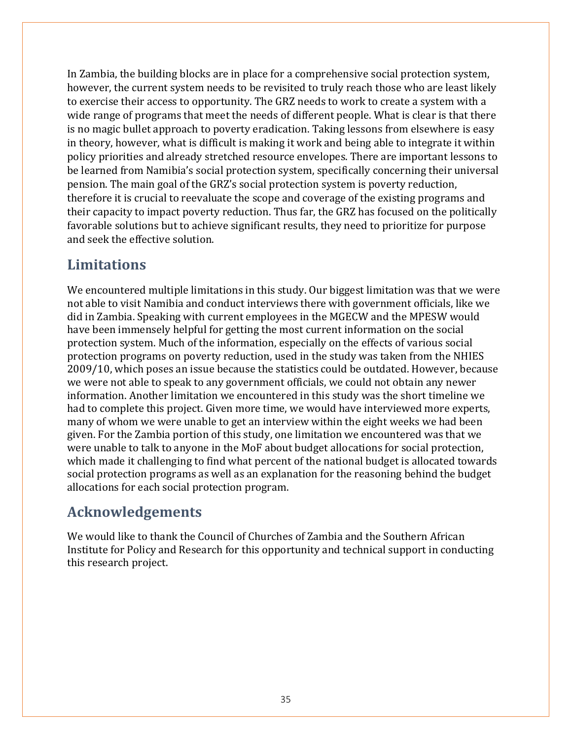In Zambia, the building blocks are in place for a comprehensive social protection system, however, the current system needs to be revisited to truly reach those who are least likely to exercise their access to opportunity. The GRZ needs to work to create a system with a wide range of programs that meet the needs of different people. What is clear is that there is no magic bullet approach to poverty eradication. Taking lessons from elsewhere is easy in theory, however, what is difficult is making it work and being able to integrate it within policy priorities and already stretched resource envelopes. There are important lessons to be learned from Namibia's social protection system, specifically concerning their universal pension. The main goal of the GRZ's social protection system is poverty reduction, therefore it is crucial to reevaluate the scope and coverage of the existing programs and their capacity to impact poverty reduction. Thus far, the GRZ has focused on the politically favorable solutions but to achieve significant results, they need to prioritize for purpose and seek the effective solution.

# **Limitations**

We encountered multiple limitations in this study. Our biggest limitation was that we were not able to visit Namibia and conduct interviews there with government officials, like we did in Zambia. Speaking with current employees in the MGECW and the MPESW would have been immensely helpful for getting the most current information on the social protection system. Much of the information, especially on the effects of various social protection programs on poverty reduction, used in the study was taken from the NHIES 2009/10, which poses an issue because the statistics could be outdated. However, because we were not able to speak to any government officials, we could not obtain any newer information. Another limitation we encountered in this study was the short timeline we had to complete this project. Given more time, we would have interviewed more experts, many of whom we were unable to get an interview within the eight weeks we had been given. For the Zambia portion of this study, one limitation we encountered was that we were unable to talk to anyone in the MoF about budget allocations for social protection, which made it challenging to find what percent of the national budget is allocated towards social protection programs as well as an explanation for the reasoning behind the budget allocations for each social protection program.

# **Acknowledgements**

We would like to thank the Council of Churches of Zambia and the Southern African Institute for Policy and Research for this opportunity and technical support in conducting this research project.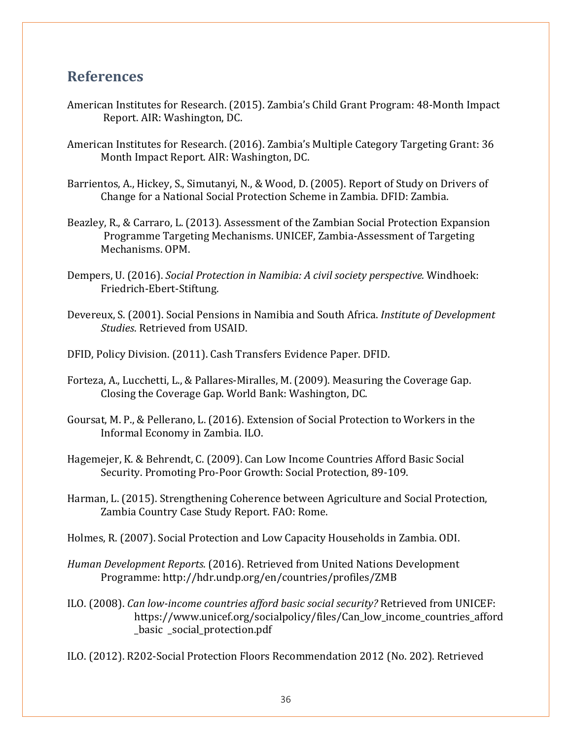### **References**

- American Institutes for Research. (2015). Zambia's Child Grant Program: 48-Month Impact Report. AIR: Washington, DC.
- American Institutes for Research. (2016). Zambia's Multiple Category Targeting Grant: 36 Month Impact Report. AIR: Washington, DC.
- Barrientos, A., Hickey, S., Simutanyi, N., & Wood, D. (2005). Report of Study on Drivers of Change for a National Social Protection Scheme in Zambia. DFID: Zambia.
- Beazley, R., & Carraro, L. (2013). Assessment of the Zambian Social Protection Expansion Programme Targeting Mechanisms. UNICEF, Zambia-Assessment of Targeting Mechanisms. OPM.
- Dempers, U. (2016). *Social Protection in Namibia: A civil society perspective.* Windhoek: Friedrich-Ebert-Stiftung.
- Devereux, S. (2001). Social Pensions in Namibia and South Africa. *Institute of Development Studies*. Retrieved from USAID.
- DFID, Policy Division. (2011). Cash Transfers Evidence Paper. DFID.
- Forteza, A., Lucchetti, L., & Pallares-Miralles, M. (2009). Measuring the Coverage Gap. Closing the Coverage Gap. World Bank: Washington, DC.
- Goursat, M. P., & Pellerano, L. (2016). Extension of Social Protection to Workers in the Informal Economy in Zambia. ILO.
- Hagemejer, K. & Behrendt, C. (2009). Can Low Income Countries Afford Basic Social Security. Promoting Pro-Poor Growth: Social Protection, 89-109.
- Harman, L. (2015). Strengthening Coherence between Agriculture and Social Protection, Zambia Country Case Study Report. FAO: Rome.

Holmes, R. (2007). Social Protection and Low Capacity Households in Zambia. ODI.

- *Human Development Reports*. (2016). Retrieved from United Nations Development Programme: http://hdr.undp.org/en/countries/profiles/ZMB
- ILO. (2008). *Can low-income countries afford basic social security?* Retrieved from UNICEF: https://www.unicef.org/socialpolicy/files/Can\_low\_income\_countries\_afford basic social protection.pdf
- ILO. (2012). R202-Social Protection Floors Recommendation 2012 (No. 202). Retrieved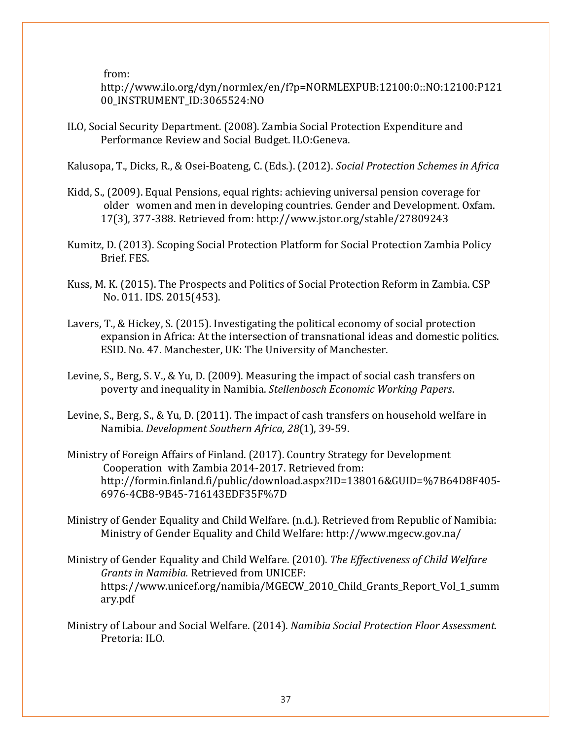from:

http://www.ilo.org/dyn/normlex/en/f?p=NORMLEXPUB:12100:0::NO:12100:P121 00\_INSTRUMENT\_ID:3065524:NO

ILO, Social Security Department. (2008). Zambia Social Protection Expenditure and Performance Review and Social Budget. ILO:Geneva.

Kalusopa, T., Dicks, R., & Osei-Boateng, C. (Eds.). (2012). *Social Protection Schemes in Africa*

- Kidd, S., (2009). Equal Pensions, equal rights: achieving universal pension coverage for older women and men in developing countries. Gender and Development. Oxfam. 17(3), 377-388. Retrieved from: http://www.jstor.org/stable/27809243
- Kumitz, D. (2013). Scoping Social Protection Platform for Social Protection Zambia Policy Brief. FES.
- Kuss, M. K. (2015). The Prospects and Politics of Social Protection Reform in Zambia. CSP No. 011. IDS. 2015(453).
- Lavers, T., & Hickey, S. (2015). Investigating the political economy of social protection expansion in Africa: At the intersection of transnational ideas and domestic politics. ESID. No. 47. Manchester, UK: The University of Manchester.
- Levine, S., Berg, S. V., & Yu, D. (2009). Measuring the impact of social cash transfers on poverty and inequality in Namibia. *Stellenbosch Economic Working Papers*.
- Levine, S., Berg, S., & Yu, D. (2011). The impact of cash transfers on household welfare in Namibia. *Development Southern Africa, 28*(1), 39-59.
- Ministry of Foreign Affairs of Finland. (2017). Country Strategy for Development Cooperation with Zambia 2014-2017. Retrieved from: http://formin.finland.fi/public/download.aspx?ID=138016&GUID=%7B64D8F405- 6976-4CB8-9B45-716143EDF35F%7D
- Ministry of Gender Equality and Child Welfare. (n.d.). Retrieved from Republic of Namibia: Ministry of Gender Equality and Child Welfare: http://www.mgecw.gov.na/
- Ministry of Gender Equality and Child Welfare. (2010). *The Effectiveness of Child Welfare Grants in Namibia.* Retrieved from UNICEF: https://www.unicef.org/namibia/MGECW\_2010\_Child\_Grants\_Report\_Vol\_1\_summ ary.pdf
- Ministry of Labour and Social Welfare. (2014). *Namibia Social Protection Floor Assessment.* Pretoria: ILO.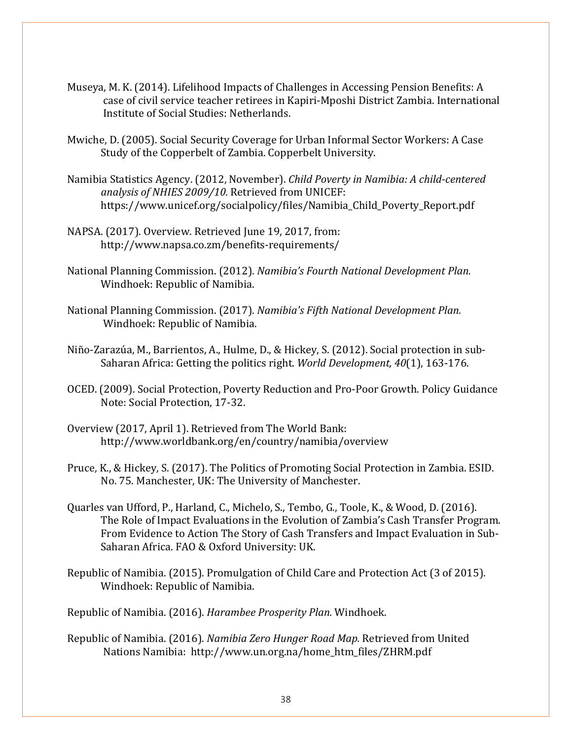- Museya, M. K. (2014). Lifelihood Impacts of Challenges in Accessing Pension Benefits: A case of civil service teacher retirees in Kapiri-Mposhi District Zambia. International Institute of Social Studies: Netherlands.
- Mwiche, D. (2005). Social Security Coverage for Urban Informal Sector Workers: A Case Study of the Copperbelt of Zambia. Copperbelt University.
- Namibia Statistics Agency. (2012, November). *Child Poverty in Namibia: A child-centered analysis of NHIES 2009/10.* Retrieved from UNICEF: https://www.unicef.org/socialpolicy/files/Namibia\_Child\_Poverty\_Report.pdf
- NAPSA. (2017). Overview. Retrieved June 19, 2017, from: http://www.napsa.co.zm/benefits-requirements/
- National Planning Commission. (2012). *Namibia's Fourth National Development Plan.* Windhoek: Republic of Namibia.
- National Planning Commission. (2017). *Namibia's Fifth National Development Plan.* Windhoek: Republic of Namibia.
- Niño-Zarazúa, M., Barrientos, A., Hulme, D., & Hickey, S. (2012). Social protection in sub-Saharan Africa: Getting the politics right. *World Development, 40*(1), 163-176.
- OCED. (2009). Social Protection, Poverty Reduction and Pro-Poor Growth. Policy Guidance Note: Social Protection, 17-32.
- Overview (2017, April 1). Retrieved from The World Bank: http://www.worldbank.org/en/country/namibia/overview
- Pruce, K., & Hickey, S. (2017). The Politics of Promoting Social Protection in Zambia. ESID. No. 75. Manchester, UK: The University of Manchester.
- Quarles van Ufford, P., Harland, C., Michelo, S., Tembo, G., Toole, K., & Wood, D. (2016). The Role of Impact Evaluations in the Evolution of Zambia's Cash Transfer Program. From Evidence to Action The Story of Cash Transfers and Impact Evaluation in Sub-Saharan Africa. FAO & Oxford University: UK.
- Republic of Namibia. (2015). Promulgation of Child Care and Protection Act (3 of 2015). Windhoek: Republic of Namibia.

Republic of Namibia. (2016). *Harambee Prosperity Plan.* Windhoek.

Republic of Namibia. (2016). *Namibia Zero Hunger Road Map.* Retrieved from United Nations Namibia: http://www.un.org.na/home\_htm\_files/ZHRM.pdf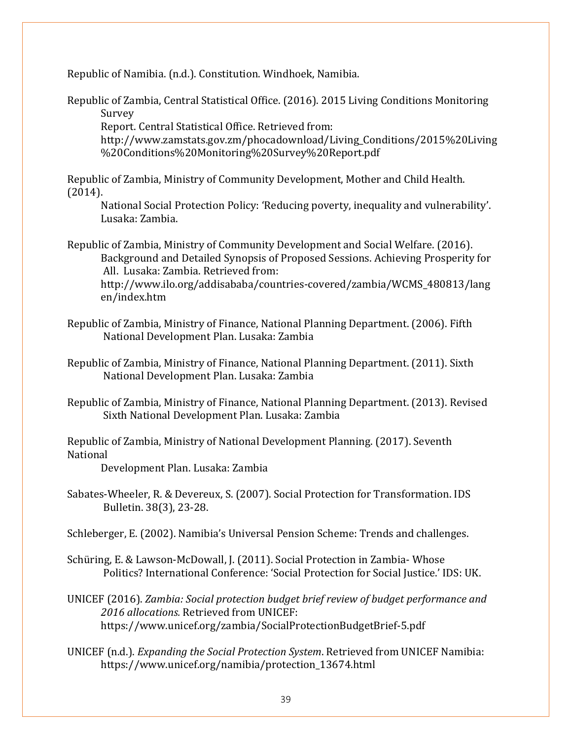Republic of Namibia. (n.d.). Constitution. Windhoek, Namibia.

Republic of Zambia, Central Statistical Office. (2016). 2015 Living Conditions Monitoring Survey

Report. Central Statistical Office. Retrieved from:

http://www.zamstats.gov.zm/phocadownload/Living\_Conditions/2015%20Living %20Conditions%20Monitoring%20Survey%20Report.pdf

Republic of Zambia, Ministry of Community Development, Mother and Child Health. (2014).

National Social Protection Policy: 'Reducing poverty, inequality and vulnerability'. Lusaka: Zambia.

Republic of Zambia, Ministry of Community Development and Social Welfare. (2016). Background and Detailed Synopsis of Proposed Sessions. Achieving Prosperity for All. Lusaka: Zambia. Retrieved from: http://www.ilo.org/addisababa/countries-covered/zambia/WCMS\_480813/lang en/index.htm

Republic of Zambia, Ministry of Finance, National Planning Department. (2006). Fifth National Development Plan. Lusaka: Zambia

Republic of Zambia, Ministry of Finance, National Planning Department. (2011). Sixth National Development Plan. Lusaka: Zambia

Republic of Zambia, Ministry of Finance, National Planning Department. (2013). Revised Sixth National Development Plan. Lusaka: Zambia

Republic of Zambia, Ministry of National Development Planning. (2017). Seventh National

Development Plan. Lusaka: Zambia

Sabates-Wheeler, R. & Devereux, S. (2007). Social Protection for Transformation. IDS Bulletin. 38(3), 23-28.

Schleberger, E. (2002). Namibia's Universal Pension Scheme: Trends and challenges.

- Schüring, E. & Lawson-McDowall, J. (2011). Social Protection in Zambia- Whose Politics? International Conference: 'Social Protection for Social Justice.' IDS: UK.
- UNICEF (2016). *Zambia: Social protection budget brief review of budget performance and 2016 allocations.* Retrieved from UNICEF: https://www.unicef.org/zambia/SocialProtectionBudgetBrief-5.pdf
- UNICEF (n.d.). *Expanding the Social Protection System*. Retrieved from UNICEF Namibia: https://www.unicef.org/namibia/protection\_13674.html